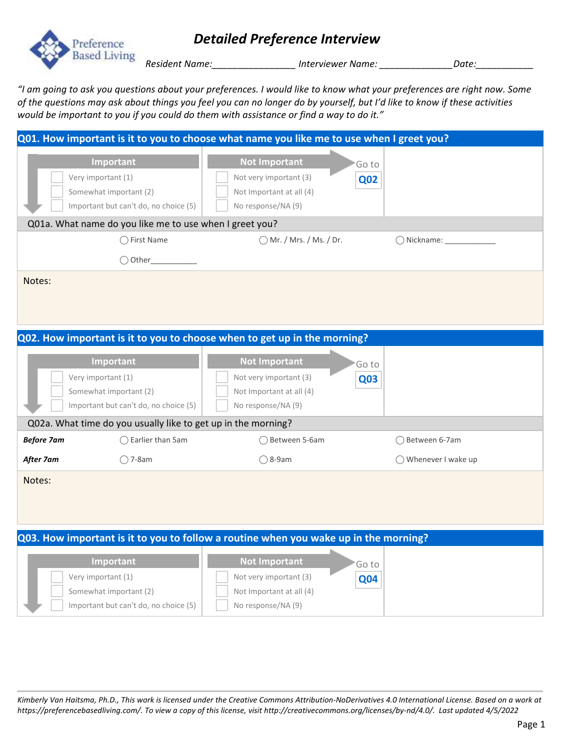

### *Detailed Preference Interview*

*Resident Name:\_\_\_\_\_\_\_\_\_\_\_\_\_\_\_\_ Interviewer Name: \_\_\_\_\_\_\_\_\_\_\_\_\_\_Date:\_\_\_\_\_\_\_\_\_\_\_*

*"I am going to ask you questions about your preferences. I would like to know what your preferences are right now. Some of the questions may ask about things you feel you can no longer do by yourself, but I'd like to know if these activities would be important to you if you could do them with assistance or find a way to do it."*

|                   |                                                                                                                                                               | Q01. How important is it to you to choose what name you like me to use when I greet you?                                                                                                                 |                      |
|-------------------|---------------------------------------------------------------------------------------------------------------------------------------------------------------|----------------------------------------------------------------------------------------------------------------------------------------------------------------------------------------------------------|----------------------|
|                   | Important<br>Very important (1)<br>Somewhat important (2)<br>Important but can't do, no choice (5)<br>Q01a. What name do you like me to use when I greet you? | <b>Not Important</b><br>Go to<br>Not very important (3)<br><b>Q02</b><br>Not Important at all (4)<br>No response/NA (9)                                                                                  |                      |
|                   | ◯ First Name<br>$\bigcirc$ Other                                                                                                                              | ◯ Mr. / Mrs. / Ms. / Dr.                                                                                                                                                                                 |                      |
| Notes:            |                                                                                                                                                               |                                                                                                                                                                                                          |                      |
|                   |                                                                                                                                                               | Q02. How important is it to you to choose when to get up in the morning?                                                                                                                                 |                      |
|                   | Important<br>Very important (1)<br>Somewhat important (2)<br>Important but can't do, no choice (5)                                                            | <b>Not Important</b><br>Goto<br>Not very important (3)<br><b>Q03</b><br>Not Important at all (4)<br>No response/NA (9)                                                                                   |                      |
|                   | Q02a. What time do you usually like to get up in the morning?                                                                                                 |                                                                                                                                                                                                          |                      |
| <b>Before 7am</b> | ◯ Earlier than 5am                                                                                                                                            | ◯ Between 5-6am                                                                                                                                                                                          | ◯ Between 6-7am      |
| After 7am         | $\bigcirc$ 7-8am                                                                                                                                              | $\bigcirc$ 8-9am                                                                                                                                                                                         | ◯ Whenever I wake up |
| Notes:            |                                                                                                                                                               |                                                                                                                                                                                                          |                      |
|                   | Important<br>Very important (1)<br>Somewhat important (2)<br>Important but can't do, no choice (5)                                                            | Q03. How important is it to you to follow a routine when you wake up in the morning?<br><b>Not Important</b><br>Go to<br>Not very important (3)<br>Q04<br>Not Important at all (4)<br>No response/NA (9) |                      |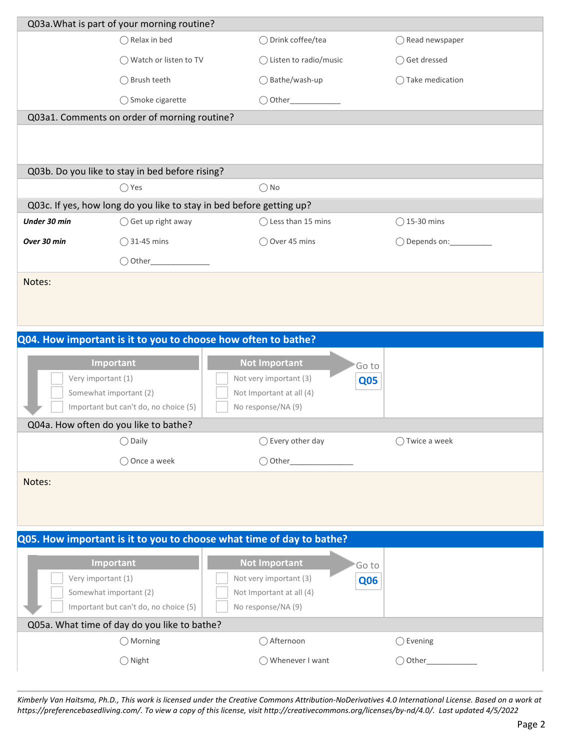|                    | Q03a. What is part of your morning routine?                                  |                                                                                                                         |                           |
|--------------------|------------------------------------------------------------------------------|-------------------------------------------------------------------------------------------------------------------------|---------------------------|
|                    | $\bigcirc$ Relax in bed                                                      | ◯ Drink coffee/tea                                                                                                      | $\bigcirc$ Read newspaper |
|                    | ◯ Watch or listen to TV                                                      | $\bigcirc$ Listen to radio/music                                                                                        | ◯ Get dressed             |
|                    | ◯ Brush teeth                                                                | $\bigcirc$ Bathe/wash-up                                                                                                | ◯ Take medication         |
|                    | ◯ Smoke cigarette                                                            |                                                                                                                         |                           |
|                    | Q03a1. Comments on order of morning routine?                                 |                                                                                                                         |                           |
|                    |                                                                              |                                                                                                                         |                           |
|                    | Q03b. Do you like to stay in bed before rising?                              |                                                                                                                         |                           |
|                    | $\bigcirc$ Yes                                                               | $\bigcirc$ No                                                                                                           |                           |
|                    |                                                                              | Q03c. If yes, how long do you like to stay in bed before getting up?                                                    |                           |
| Under 30 min       | ◯ Get up right away                                                          | ◯ Less than 15 mins                                                                                                     | $\bigcirc$ 15-30 mins     |
| Over 30 min        | $\bigcirc$ 31-45 mins                                                        | ◯ Over 45 mins                                                                                                          |                           |
|                    |                                                                              |                                                                                                                         |                           |
| Notes:             |                                                                              |                                                                                                                         |                           |
|                    |                                                                              | Q04. How important is it to you to choose how often to bathe?                                                           |                           |
| Very important (1) | Important<br>Somewhat important (2)<br>Important but can't do, no choice (5) | <b>Not Important</b><br>Go to<br>Not very important (3)<br><b>Q05</b><br>Not Important at all (4)<br>No response/NA (9) |                           |
|                    | Q04a. How often do you like to bathe?                                        |                                                                                                                         |                           |
|                    | $\bigcirc$ Daily                                                             | $\bigcirc$ Every other day                                                                                              | ◯ Twice a week            |
|                    | ◯ Once a week                                                                |                                                                                                                         |                           |
| Notes:             |                                                                              |                                                                                                                         |                           |
|                    |                                                                              | Q05. How important is it to you to choose what time of day to bathe?                                                    |                           |
| Very important (1) | Important<br>Somewhat important (2)<br>Important but can't do, no choice (5) | <b>Not Important</b><br>Go to<br>Not very important (3)<br><b>Q06</b><br>Not Important at all (4)<br>No response/NA (9) |                           |
|                    | Q05a. What time of day do you like to bathe?                                 |                                                                                                                         |                           |
|                    | $\bigcirc$ Morning                                                           | ○ Afternoon                                                                                                             | $\bigcirc$ Evening        |
|                    | $\bigcirc$ Night                                                             | ◯ Whenever I want                                                                                                       | $\bigcirc$ Other_         |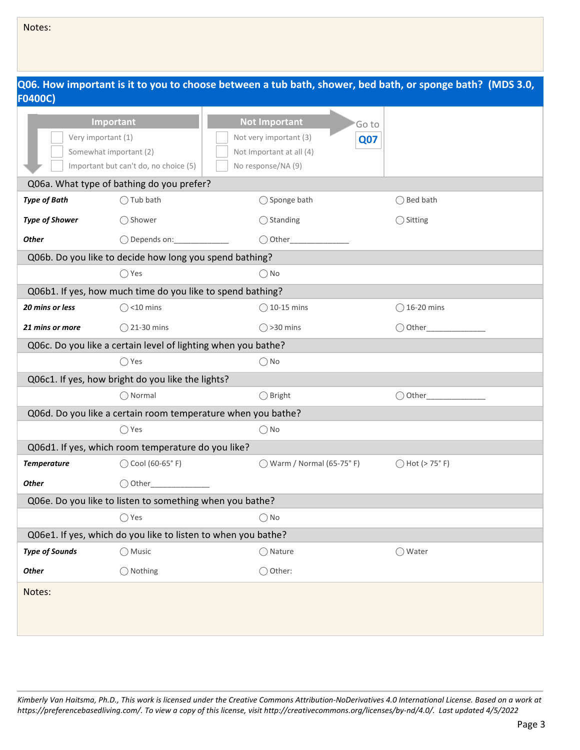|                       |                                                               |                                     | Q06. How important is it to you to choose between a tub bath, shower, bed bath, or sponge bath? (MDS 3.0, |  |  |
|-----------------------|---------------------------------------------------------------|-------------------------------------|-----------------------------------------------------------------------------------------------------------|--|--|
| <b>F0400C)</b>        |                                                               |                                     |                                                                                                           |  |  |
|                       | Important                                                     | <b>Not Important</b>                | 'Go to                                                                                                    |  |  |
| Very important (1)    |                                                               | Not very important (3)              | <b>Q07</b>                                                                                                |  |  |
|                       | Somewhat important (2)                                        | Not Important at all (4)            |                                                                                                           |  |  |
|                       | Important but can't do, no choice (5)                         | No response/NA (9)                  |                                                                                                           |  |  |
|                       | Q06a. What type of bathing do you prefer?                     |                                     |                                                                                                           |  |  |
| <b>Type of Bath</b>   | $\bigcirc$ Tub bath                                           | ◯ Sponge bath                       | $\bigcap$ Bed bath                                                                                        |  |  |
| <b>Type of Shower</b> | ◯ Shower                                                      | $\bigcirc$ Standing                 | $\bigcirc$ Sitting                                                                                        |  |  |
| <b>Other</b>          | ◯ Depends on: <u>______________</u>                           | $\bigcirc$ Other                    |                                                                                                           |  |  |
|                       | Q06b. Do you like to decide how long you spend bathing?       |                                     |                                                                                                           |  |  |
|                       | $\bigcirc$ Yes                                                | $\bigcirc$ No                       |                                                                                                           |  |  |
|                       | Q06b1. If yes, how much time do you like to spend bathing?    |                                     |                                                                                                           |  |  |
| 20 mins or less       | $\bigcirc$ <10 mins                                           | $\bigcirc$ 10-15 mins               | $\bigcirc$ 16-20 mins                                                                                     |  |  |
| 21 mins or more       | $\bigcirc$ 21-30 mins                                         | $\bigcirc$ >30 mins                 | ◯ Other_____________                                                                                      |  |  |
|                       | Q06c. Do you like a certain level of lighting when you bathe? |                                     |                                                                                                           |  |  |
|                       | $\bigcirc$ Yes                                                | $\bigcirc$ No                       |                                                                                                           |  |  |
|                       | Q06c1. If yes, how bright do you like the lights?             |                                     |                                                                                                           |  |  |
|                       | $\bigcirc$ Normal                                             | $\bigcirc$ Bright                   | $\bigcirc$ Other_                                                                                         |  |  |
|                       | Q06d. Do you like a certain room temperature when you bathe?  |                                     |                                                                                                           |  |  |
|                       | $\bigcirc$ Yes                                                | $\bigcirc$ No                       |                                                                                                           |  |  |
|                       | Q06d1. If yes, which room temperature do you like?            |                                     |                                                                                                           |  |  |
| <b>Temperature</b>    | ◯ Cool (60-65°F)                                              | $\bigcirc$ Warm / Normal (65-75° F) | $()$ Hot (> 75 $\degree$ F)                                                                               |  |  |
| <b>Other</b>          | $\bigcirc$ Other                                              |                                     |                                                                                                           |  |  |
|                       | Q06e. Do you like to listen to something when you bathe?      |                                     |                                                                                                           |  |  |
|                       | $\bigcirc$ Yes                                                | $\bigcirc$ No                       |                                                                                                           |  |  |
|                       | Q06e1. If yes, which do you like to listen to when you bathe? |                                     |                                                                                                           |  |  |
| <b>Type of Sounds</b> | $\bigcirc$ Music                                              | $\bigcirc$ Nature                   | ◯ Water                                                                                                   |  |  |
| <b>Other</b>          | ◯ Nothing                                                     | ◯ Other:                            |                                                                                                           |  |  |
| Notes:                |                                                               |                                     |                                                                                                           |  |  |
|                       |                                                               |                                     |                                                                                                           |  |  |
|                       |                                                               |                                     |                                                                                                           |  |  |

Notes: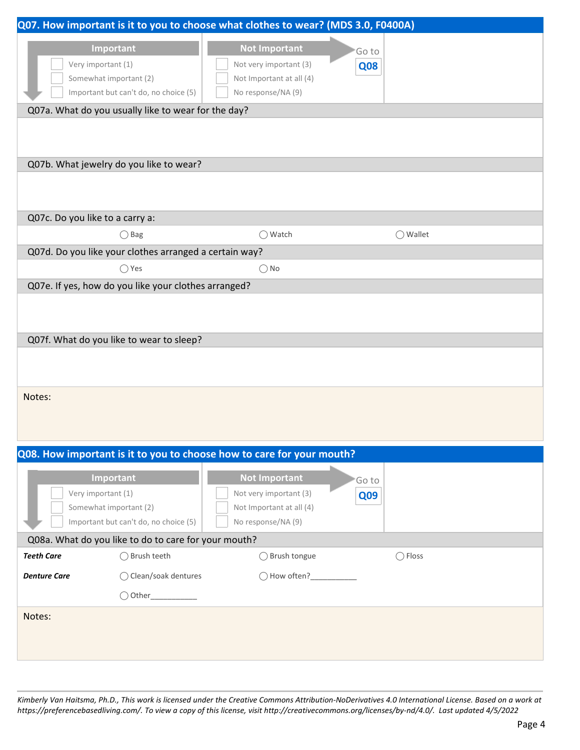|                                                      |                                                        | Q07. How important is it to you to choose what clothes to wear? (MDS 3.0, F0400A) |               |                  |
|------------------------------------------------------|--------------------------------------------------------|-----------------------------------------------------------------------------------|---------------|------------------|
|                                                      | Important                                              | <b>Not Important</b>                                                              |               |                  |
| Very important (1)                                   |                                                        | Not very important (3)                                                            | Go to<br>Q08  |                  |
| Somewhat important (2)                               |                                                        | Not Important at all (4)                                                          |               |                  |
|                                                      | Important but can't do, no choice (5)                  | No response/NA (9)                                                                |               |                  |
|                                                      | Q07a. What do you usually like to wear for the day?    |                                                                                   |               |                  |
|                                                      |                                                        |                                                                                   |               |                  |
|                                                      |                                                        |                                                                                   |               |                  |
|                                                      | Q07b. What jewelry do you like to wear?                |                                                                                   |               |                  |
|                                                      |                                                        |                                                                                   |               |                  |
|                                                      |                                                        |                                                                                   |               |                  |
| Q07c. Do you like to a carry a:                      |                                                        |                                                                                   |               |                  |
|                                                      | $\bigcirc$ Bag                                         | ◯ Watch                                                                           |               | ◯ Wallet         |
|                                                      | Q07d. Do you like your clothes arranged a certain way? |                                                                                   |               |                  |
|                                                      | $\bigcirc$ Yes                                         | $\bigcirc$ No                                                                     |               |                  |
|                                                      | Q07e. If yes, how do you like your clothes arranged?   |                                                                                   |               |                  |
|                                                      |                                                        |                                                                                   |               |                  |
|                                                      |                                                        |                                                                                   |               |                  |
|                                                      | Q07f. What do you like to wear to sleep?               |                                                                                   |               |                  |
|                                                      |                                                        |                                                                                   |               |                  |
|                                                      |                                                        |                                                                                   |               |                  |
|                                                      |                                                        |                                                                                   |               |                  |
| Notes:                                               |                                                        |                                                                                   |               |                  |
|                                                      |                                                        |                                                                                   |               |                  |
|                                                      |                                                        |                                                                                   |               |                  |
|                                                      |                                                        | Q08. How important is it to you to choose how to care for your mouth?             |               |                  |
|                                                      | Important                                              | <b>Not Important</b>                                                              |               |                  |
| Very important (1)                                   |                                                        | Not very important (3)                                                            | 'Go to<br>Q09 |                  |
| Somewhat important (2)                               |                                                        | Not Important at all (4)                                                          |               |                  |
|                                                      | Important but can't do, no choice (5)                  | No response/NA (9)                                                                |               |                  |
| Q08a. What do you like to do to care for your mouth? |                                                        |                                                                                   |               |                  |
| <b>Teeth Care</b>                                    | ◯ Brush teeth                                          | ◯ Brush tongue                                                                    |               | $\bigcirc$ Floss |
| <b>Denture Care</b>                                  | ◯ Clean/soak dentures                                  | ◯ How often?_____________                                                         |               |                  |
|                                                      |                                                        |                                                                                   |               |                  |
| Notes:                                               |                                                        |                                                                                   |               |                  |
|                                                      |                                                        |                                                                                   |               |                  |
|                                                      |                                                        |                                                                                   |               |                  |
|                                                      |                                                        |                                                                                   |               |                  |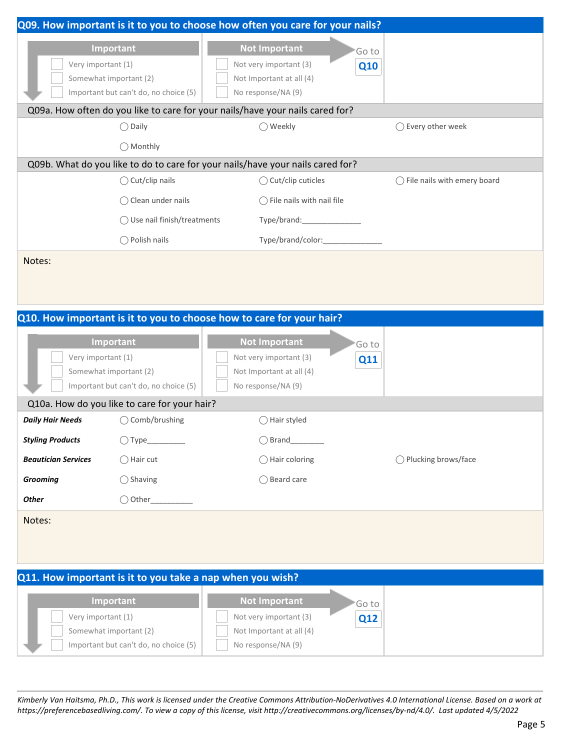|                            |                                                                              | Q09. How important is it to you to choose how often you care for your nails?                                      |                                        |
|----------------------------|------------------------------------------------------------------------------|-------------------------------------------------------------------------------------------------------------------|----------------------------------------|
| Very important (1)         | Important<br>Somewhat important (2)<br>Important but can't do, no choice (5) | <b>Not Important</b><br>'Go to<br>Not very important (3)<br>Q10<br>Not Important at all (4)<br>No response/NA (9) |                                        |
|                            |                                                                              | Q09a. How often do you like to care for your nails/have your nails cared for?                                     |                                        |
|                            | $\bigcirc$ Daily                                                             | ◯ Weekly                                                                                                          | ◯ Every other week                     |
|                            | ◯ Monthly                                                                    |                                                                                                                   |                                        |
|                            |                                                                              | Q09b. What do you like to do to care for your nails/have your nails cared for?                                    |                                        |
|                            | $\bigcirc$ Cut/clip nails                                                    | ◯ Cut/clip cuticles                                                                                               | $\bigcirc$ File nails with emery board |
|                            | $\bigcirc$ Clean under nails                                                 | $\bigcirc$ File nails with nail file                                                                              |                                        |
|                            | ◯ Use nail finish/treatments                                                 |                                                                                                                   |                                        |
|                            | $\bigcirc$ Polish nails                                                      | Type/brand/color:____________                                                                                     |                                        |
| Notes:                     |                                                                              |                                                                                                                   |                                        |
|                            |                                                                              | Q10. How important is it to you to choose how to care for your hair?                                              |                                        |
| Very important (1)         | Important<br>Somewhat important (2)<br>Important but can't do, no choice (5) | <b>Not Important</b><br>Go to<br>Not very important (3)<br>Q11<br>Not Important at all (4)<br>No response/NA (9)  |                                        |
|                            | Q10a. How do you like to care for your hair?                                 |                                                                                                                   |                                        |
| <b>Daily Hair Needs</b>    | ◯ Comb/brushing                                                              | ◯ Hair styled                                                                                                     |                                        |
| <b>Styling Products</b>    | $\bigcirc$ Type__________                                                    | $\bigcirc$ Brand                                                                                                  |                                        |
| <b>Beautician Services</b> | $\bigcirc$ Hair cut                                                          | $\bigcirc$ Hair coloring                                                                                          | ◯ Plucking brows/face                  |
| <b>Grooming</b>            | $\bigcirc$ Shaving                                                           | ◯ Beard care                                                                                                      |                                        |
| <b>Other</b>               |                                                                              |                                                                                                                   |                                        |
| Notes:                     |                                                                              |                                                                                                                   |                                        |
|                            | Q11. How important is it to you take a nap when you wish?                    |                                                                                                                   |                                        |
| Very important (1)         | Important<br>Somewhat important (2)<br>Important but can't do, no choice (5) | <b>Not Important</b><br>Go to<br>Not very important (3)<br>Q12<br>Not Important at all (4)<br>No response/NA (9)  |                                        |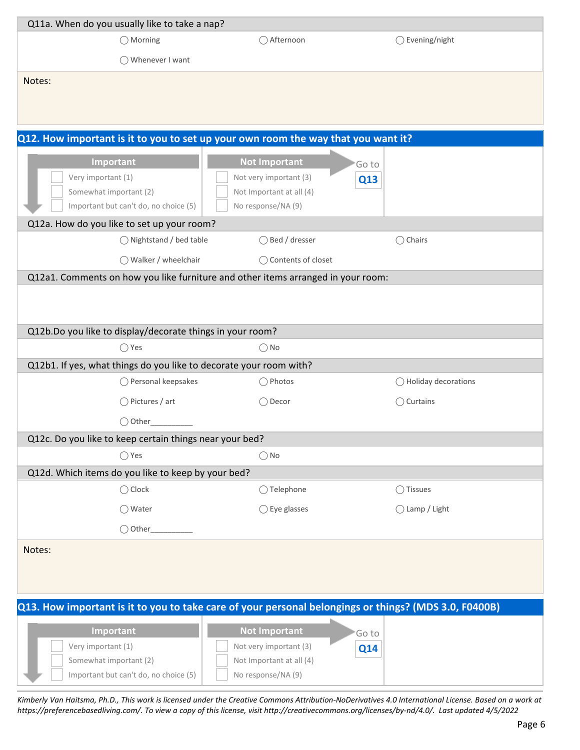| Q11a. When do you usually like to take a nap?                                                         |                          |                                                                                                  |                     |                                |
|-------------------------------------------------------------------------------------------------------|--------------------------|--------------------------------------------------------------------------------------------------|---------------------|--------------------------------|
| $\bigcirc$ Morning                                                                                    |                          | ◯ Afternoon                                                                                      |                     | ◯ Evening/night                |
| ◯ Whenever I want                                                                                     |                          |                                                                                                  |                     |                                |
| Notes:                                                                                                |                          |                                                                                                  |                     |                                |
| Q12. How important is it to you to set up your own room the way that you want it?                     |                          |                                                                                                  |                     |                                |
| Important<br>Very important (1)<br>Somewhat important (2)<br>Important but can't do, no choice (5)    |                          | <b>Not Important</b><br>Not very important (3)<br>Not Important at all (4)<br>No response/NA (9) | Go to<br><b>Q13</b> |                                |
| Q12a. How do you like to set up your room?                                                            |                          |                                                                                                  |                     |                                |
|                                                                                                       | ◯ Nightstand / bed table | ◯ Bed / dresser                                                                                  |                     | $\bigcirc$ Chairs              |
|                                                                                                       | ◯ Walker / wheelchair    | ◯ Contents of closet                                                                             |                     |                                |
| Q12a1. Comments on how you like furniture and other items arranged in your room:                      |                          |                                                                                                  |                     |                                |
|                                                                                                       |                          |                                                                                                  |                     |                                |
| Q12b.Do you like to display/decorate things in your room?                                             |                          |                                                                                                  |                     |                                |
| $\bigcirc$ Yes                                                                                        |                          | $\bigcirc$ No                                                                                    |                     |                                |
| Q12b1. If yes, what things do you like to decorate your room with?                                    |                          |                                                                                                  |                     |                                |
|                                                                                                       | ◯ Personal keepsakes     | ◯ Photos                                                                                         |                     | $\bigcirc$ Holiday decorations |
| $\bigcirc$ Pictures / art                                                                             |                          | $\bigcirc$ Decor                                                                                 |                     | $\bigcirc$ Curtains            |
| $\bigcirc$ Other                                                                                      |                          |                                                                                                  |                     |                                |
| Q12c. Do you like to keep certain things near your bed?                                               |                          |                                                                                                  |                     |                                |
| $\bigcirc$ Yes                                                                                        |                          | $\bigcirc$ No                                                                                    |                     |                                |
| Q12d. Which items do you like to keep by your bed?                                                    |                          |                                                                                                  |                     |                                |
| $\bigcirc$ Clock                                                                                      |                          | $\bigcirc$ Telephone                                                                             |                     | ◯ Tissues                      |
| ◯ Water                                                                                               |                          | $\bigcirc$ Eye glasses                                                                           |                     | ◯ Lamp / Light                 |
| $\bigcirc$ Other                                                                                      |                          |                                                                                                  |                     |                                |
| Notes:                                                                                                |                          |                                                                                                  |                     |                                |
| Q13. How important is it to you to take care of your personal belongings or things? (MDS 3.0, F0400B) |                          |                                                                                                  |                     |                                |
| Important<br>Very important (1)<br>Somewhat important (2)<br>Important but can't do, no choice (5)    |                          | <b>Not Important</b><br>Not very important (3)<br>Not Important at all (4)<br>No response/NA (9) | Go to<br>Q14        |                                |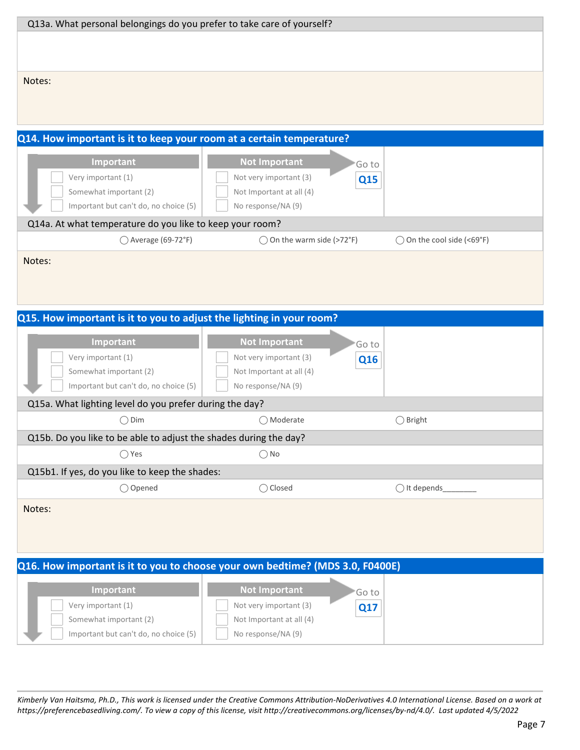| Q13a. What personal belongings do you prefer to take care of yourself?          |                                                         |                            |
|---------------------------------------------------------------------------------|---------------------------------------------------------|----------------------------|
|                                                                                 |                                                         |                            |
|                                                                                 |                                                         |                            |
| Notes:                                                                          |                                                         |                            |
|                                                                                 |                                                         |                            |
|                                                                                 |                                                         |                            |
|                                                                                 |                                                         |                            |
| Q14. How important is it to keep your room at a certain temperature?            |                                                         |                            |
| Important                                                                       | <b>Not Important</b><br>'Go to                          |                            |
| Very important (1)                                                              | Not very important (3)<br>Q15                           |                            |
| Somewhat important (2)                                                          | Not Important at all (4)                                |                            |
| Important but can't do, no choice (5)                                           | No response/NA (9)                                      |                            |
| Q14a. At what temperature do you like to keep your room?<br>◯ Average (69-72°F) | ◯ On the warm side (>72°F)                              | ◯ On the cool side (<69°F) |
|                                                                                 |                                                         |                            |
| Notes:                                                                          |                                                         |                            |
|                                                                                 |                                                         |                            |
|                                                                                 |                                                         |                            |
| Q15. How important is it to you to adjust the lighting in your room?            |                                                         |                            |
|                                                                                 |                                                         |                            |
|                                                                                 |                                                         |                            |
| Important<br>Very important (1)                                                 | <b>Not Important</b><br>Go to<br>Not very important (3) |                            |
| Somewhat important (2)                                                          | Q16<br>Not Important at all (4)                         |                            |
| Important but can't do, no choice (5)                                           | No response/NA (9)                                      |                            |
| Q15a. What lighting level do you prefer during the day?                         |                                                         |                            |
| $\bigcirc$ Dim                                                                  | ◯ Moderate                                              | $\bigcirc$ Bright          |
| Q15b. Do you like to be able to adjust the shades during the day?               |                                                         |                            |
| $\bigcirc$ Yes                                                                  | $\bigcirc$ No                                           |                            |
| Q15b1. If yes, do you like to keep the shades:                                  |                                                         |                            |
| ◯ Opened                                                                        | ◯ Closed                                                | $\bigcirc$ It depends      |
| Notes:                                                                          |                                                         |                            |
|                                                                                 |                                                         |                            |
|                                                                                 |                                                         |                            |
|                                                                                 |                                                         |                            |
| Q16. How important is it to you to choose your own bedtime? (MDS 3.0, F0400E)   |                                                         |                            |
| Important                                                                       | <b>Not Important</b><br>Go to                           |                            |
| Very important (1)                                                              | Not very important (3)<br><b>Q17</b>                    |                            |
| Somewhat important (2)<br>Important but can't do, no choice (5)                 | Not Important at all (4)<br>No response/NA (9)          |                            |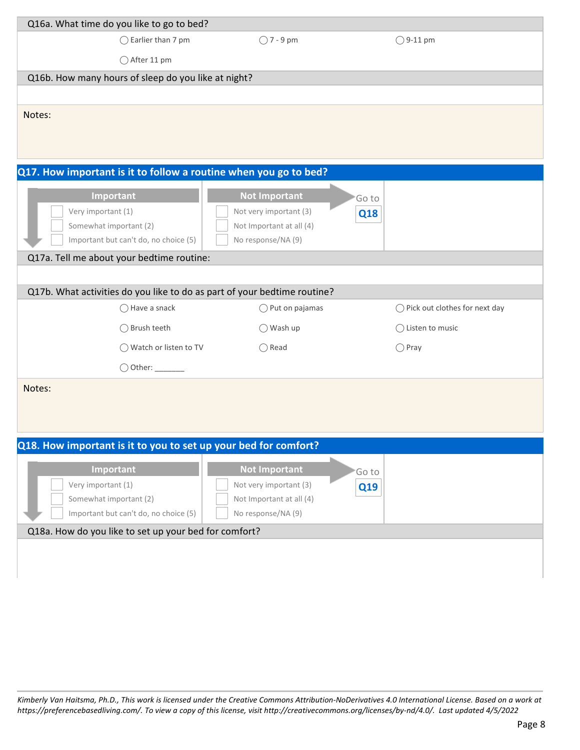| Q16a. What time do you like to go to bed?                       |                              |                                                                          |                                          |  |  |
|-----------------------------------------------------------------|------------------------------|--------------------------------------------------------------------------|------------------------------------------|--|--|
|                                                                 | $\bigcirc$ Earlier than 7 pm | $\bigcirc$ 7 - 9 pm                                                      | $\bigcirc$ 9-11 pm                       |  |  |
|                                                                 | ◯ After 11 pm                |                                                                          |                                          |  |  |
| Q16b. How many hours of sleep do you like at night?             |                              |                                                                          |                                          |  |  |
|                                                                 |                              |                                                                          |                                          |  |  |
| Notes:                                                          |                              |                                                                          |                                          |  |  |
|                                                                 |                              |                                                                          |                                          |  |  |
|                                                                 |                              |                                                                          |                                          |  |  |
|                                                                 |                              |                                                                          |                                          |  |  |
|                                                                 |                              | Q17. How important is it to follow a routine when you go to bed?         |                                          |  |  |
| Important                                                       |                              | <b>Not Important</b><br>'Go to                                           |                                          |  |  |
| Very important (1)                                              |                              | Not very important (3)<br>Q18                                            |                                          |  |  |
| Somewhat important (2)                                          |                              | Not Important at all (4)                                                 |                                          |  |  |
| Important but can't do, no choice (5)                           |                              | No response/NA (9)                                                       |                                          |  |  |
| Q17a. Tell me about your bedtime routine:                       |                              |                                                                          |                                          |  |  |
|                                                                 |                              |                                                                          |                                          |  |  |
|                                                                 |                              | Q17b. What activities do you like to do as part of your bedtime routine? |                                          |  |  |
|                                                                 | ◯ Have a snack               | $\bigcirc$ Put on pajamas                                                | $\bigcirc$ Pick out clothes for next day |  |  |
|                                                                 | ◯ Brush teeth                | $\bigcirc$ Wash up                                                       | $\bigcirc$ Listen to music               |  |  |
|                                                                 | ◯ Watch or listen to TV      | $\bigcirc$ Read                                                          | $\bigcirc$ Pray                          |  |  |
|                                                                 |                              |                                                                          |                                          |  |  |
| Notes:                                                          |                              |                                                                          |                                          |  |  |
|                                                                 |                              |                                                                          |                                          |  |  |
|                                                                 |                              |                                                                          |                                          |  |  |
|                                                                 |                              |                                                                          |                                          |  |  |
| Q18. How important is it to you to set up your bed for comfort? |                              |                                                                          |                                          |  |  |
| Important                                                       |                              | <b>Not Important</b><br>'Go to                                           |                                          |  |  |
| Very important (1)                                              |                              | Not very important (3)<br>Q19                                            |                                          |  |  |
| Somewhat important (2)                                          |                              | Not Important at all (4)                                                 |                                          |  |  |
| Important but can't do, no choice (5)                           |                              | No response/NA (9)                                                       |                                          |  |  |
| Q18a. How do you like to set up your bed for comfort?           |                              |                                                                          |                                          |  |  |
|                                                                 |                              |                                                                          |                                          |  |  |
|                                                                 |                              |                                                                          |                                          |  |  |
|                                                                 |                              |                                                                          |                                          |  |  |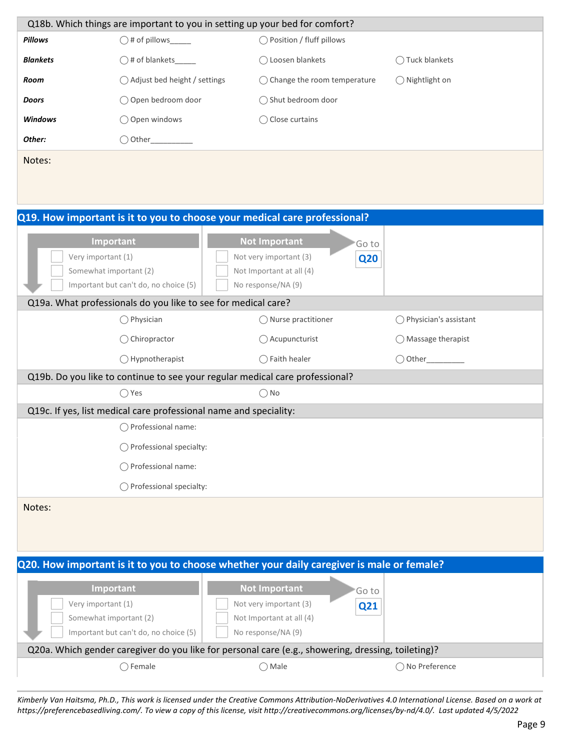|                    | Q18b. Which things are important to you in setting up your bed for comfort?  |                                                                                                    |                                  |
|--------------------|------------------------------------------------------------------------------|----------------------------------------------------------------------------------------------------|----------------------------------|
| Pillows            | $\bigcirc$ # of pillows______                                                | ◯ Position / fluff pillows                                                                         |                                  |
| <b>Blankets</b>    |                                                                              | ◯ Loosen blankets                                                                                  | Tuck blankets                    |
| Room               | ◯ Adjust bed height / settings                                               | ◯ Change the room temperature                                                                      | ◯ Nightlight on                  |
| Doors              | ○ Open bedroom door                                                          | ◯ Shut bedroom door                                                                                |                                  |
| Windows            | ○ Open windows                                                               | ◯ Close curtains                                                                                   |                                  |
| Other:             |                                                                              |                                                                                                    |                                  |
| Notes:             |                                                                              |                                                                                                    |                                  |
|                    |                                                                              |                                                                                                    |                                  |
|                    |                                                                              |                                                                                                    |                                  |
|                    |                                                                              | Q19. How important is it to you to choose your medical care professional?                          |                                  |
|                    | Important                                                                    | <b>Not Important</b><br>'Go to                                                                     |                                  |
| Very important (1) |                                                                              | Not very important (3)<br><b>Q20</b>                                                               |                                  |
|                    | Somewhat important (2)                                                       | Not Important at all (4)                                                                           |                                  |
|                    | Important but can't do, no choice (5)                                        | No response/NA (9)                                                                                 |                                  |
|                    | Q19a. What professionals do you like to see for medical care?                |                                                                                                    |                                  |
|                    | $\bigcirc$ Physician                                                         | ◯ Nurse practitioner                                                                               | $\bigcirc$ Physician's assistant |
|                    | $\bigcirc$ Chiropractor                                                      | ◯ Acupuncturist                                                                                    | $\bigcirc$ Massage therapist     |
|                    | ◯ Hypnotherapist                                                             | ◯ Faith healer                                                                                     | $\bigcirc$ Other                 |
|                    | Q19b. Do you like to continue to see your regular medical care professional? |                                                                                                    |                                  |
|                    | $\bigcirc$ Yes                                                               | $\bigcirc$ No                                                                                      |                                  |
|                    | Q19c. If yes, list medical care professional name and speciality:            |                                                                                                    |                                  |
|                    | $\bigcirc$ Professional name:                                                |                                                                                                    |                                  |
|                    | ◯ Professional specialty:                                                    |                                                                                                    |                                  |
|                    | ◯ Professional name:                                                         |                                                                                                    |                                  |
|                    | ◯ Professional specialty:                                                    |                                                                                                    |                                  |
| Notes:             |                                                                              |                                                                                                    |                                  |
|                    |                                                                              |                                                                                                    |                                  |
|                    |                                                                              |                                                                                                    |                                  |
|                    |                                                                              | Q20. How important is it to you to choose whether your daily caregiver is male or female?          |                                  |
|                    | Important                                                                    | <b>Not Important</b><br>'Go to                                                                     |                                  |
| Very important (1) |                                                                              | Not very important (3)<br>Q21                                                                      |                                  |
|                    | Somewhat important (2)                                                       | Not Important at all (4)                                                                           |                                  |
|                    | Important but can't do, no choice (5)                                        | No response/NA (9)                                                                                 |                                  |
|                    |                                                                              | Q20a. Which gender caregiver do you like for personal care (e.g., showering, dressing, toileting)? |                                  |
|                    | $\bigcirc$ Female                                                            | $\bigcirc$ Male                                                                                    | ◯ No Preference                  |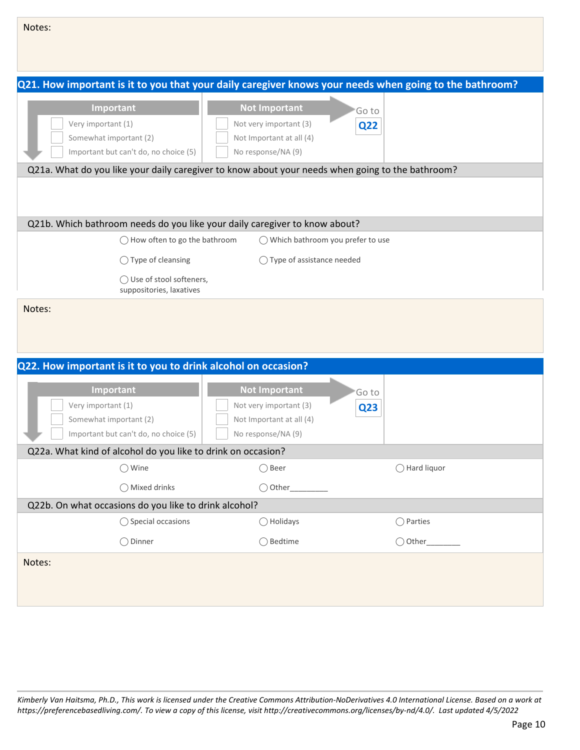| Notes:                                                                                                                                                                                                                             |                                                                                                  |                     |  |  |
|------------------------------------------------------------------------------------------------------------------------------------------------------------------------------------------------------------------------------------|--------------------------------------------------------------------------------------------------|---------------------|--|--|
|                                                                                                                                                                                                                                    |                                                                                                  |                     |  |  |
| Q21. How important is it to you that your daily caregiver knows your needs when going to the bathroom?                                                                                                                             |                                                                                                  |                     |  |  |
| Important<br>Very important (1)<br>Somewhat important (2)<br>Important but can't do, no choice (5)                                                                                                                                 | <b>Not Important</b><br>Not very important (3)<br>Not Important at all (4)<br>No response/NA (9) | Go to<br><b>Q22</b> |  |  |
| Q21a. What do you like your daily caregiver to know about your needs when going to the bathroom?                                                                                                                                   |                                                                                                  |                     |  |  |
| Q21b. Which bathroom needs do you like your daily caregiver to know about?<br>$\bigcirc$ How often to go the bathroom                                                                                                              | ◯ Which bathroom you prefer to use                                                               |                     |  |  |
| $\bigcirc$ Type of cleansing                                                                                                                                                                                                       | ◯ Type of assistance needed                                                                      |                     |  |  |
| ◯ Use of stool softeners,<br>suppositories, laxatives                                                                                                                                                                              |                                                                                                  |                     |  |  |
| Notes:                                                                                                                                                                                                                             |                                                                                                  |                     |  |  |
| Q22. How important is it to you to drink alcohol on occasion?                                                                                                                                                                      |                                                                                                  |                     |  |  |
| <b>Not Important</b><br>Important<br>Go to<br>Very important (1)<br>Not very important (3)<br>Q <sub>23</sub><br>Somewhat important (2)<br>Not Important at all (4)<br>Important but can't do, no choice (5)<br>No response/NA (9) |                                                                                                  |                     |  |  |
| Q22a. What kind of alcohol do you like to drink on occasion?                                                                                                                                                                       |                                                                                                  |                     |  |  |
| $\bigcirc$ Wine                                                                                                                                                                                                                    | ◯ Beer                                                                                           | ◯ Hard liquor       |  |  |
| ◯ Mixed drinks                                                                                                                                                                                                                     | $\bigcirc$ Other                                                                                 |                     |  |  |
| Q22b. On what occasions do you like to drink alcohol?                                                                                                                                                                              |                                                                                                  |                     |  |  |
| ◯ Special occasions                                                                                                                                                                                                                | $\bigcirc$ Holidays                                                                              | $\bigcirc$ Parties  |  |  |
| ◯ Dinner                                                                                                                                                                                                                           | ◯ Bedtime                                                                                        |                     |  |  |
| Notes:                                                                                                                                                                                                                             |                                                                                                  |                     |  |  |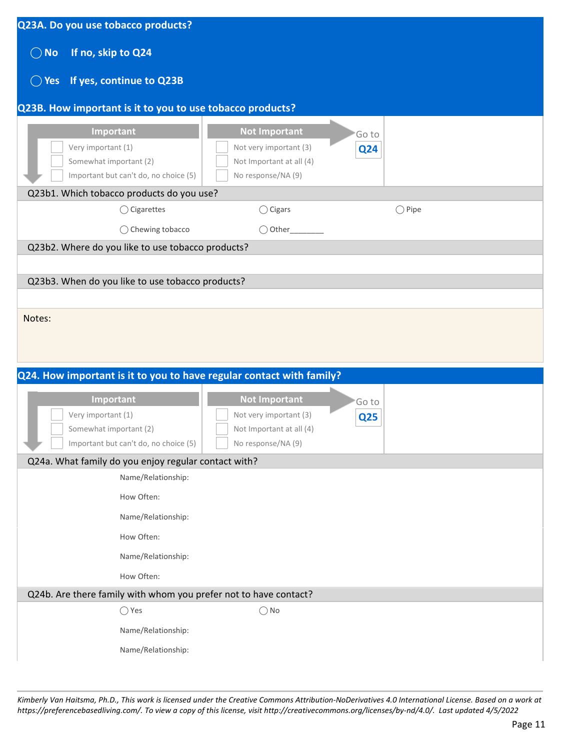| Q23A. Do you use tobacco products?                                                                 |                                                                                                  |                 |
|----------------------------------------------------------------------------------------------------|--------------------------------------------------------------------------------------------------|-----------------|
| If no, skip to Q24<br>$\bigcirc$ No                                                                |                                                                                                  |                 |
| If yes, continue to Q23B<br>$\bigcirc$ Yes                                                         |                                                                                                  |                 |
| Q23B. How important is it to you to use tobacco products?                                          |                                                                                                  |                 |
| Important<br>Very important (1)<br>Somewhat important (2)<br>Important but can't do, no choice (5) | <b>Not Important</b><br>Not very important (3)<br>Not Important at all (4)<br>No response/NA (9) | Go to<br>Q24    |
| Q23b1. Which tobacco products do you use?                                                          |                                                                                                  |                 |
| $\bigcirc$ Cigarettes                                                                              | $\bigcirc$ Cigars                                                                                | $\bigcirc$ Pipe |
| ◯ Chewing tobacco                                                                                  | ◯ Other                                                                                          |                 |
| Q23b2. Where do you like to use tobacco products?                                                  |                                                                                                  |                 |
|                                                                                                    |                                                                                                  |                 |
| Q23b3. When do you like to use tobacco products?                                                   |                                                                                                  |                 |
|                                                                                                    |                                                                                                  |                 |
| Q24. How important is it to you to have regular contact with family?                               |                                                                                                  |                 |
|                                                                                                    |                                                                                                  |                 |
| Important                                                                                          | <b>Not Important</b>                                                                             | Go to           |
| Very important (1)<br>Somewhat important (2)                                                       | Not very important (3)<br>Not Important at all (4)                                               | <b>Q25</b>      |
| Important but can't do, no choice (5)                                                              | No response/NA (9)                                                                               |                 |
| Q24a. What family do you enjoy regular contact with?                                               |                                                                                                  |                 |
| Name/Relationship:                                                                                 |                                                                                                  |                 |
| How Often:                                                                                         |                                                                                                  |                 |
| Name/Relationship:                                                                                 |                                                                                                  |                 |
| How Often:                                                                                         |                                                                                                  |                 |
| Name/Relationship:                                                                                 |                                                                                                  |                 |
| How Often:                                                                                         |                                                                                                  |                 |
| Q24b. Are there family with whom you prefer not to have contact?                                   |                                                                                                  |                 |
| $\bigcirc$ Yes                                                                                     | $\bigcirc$ No                                                                                    |                 |
| Name/Relationship:                                                                                 |                                                                                                  |                 |
| Name/Relationship:                                                                                 |                                                                                                  |                 |
|                                                                                                    |                                                                                                  |                 |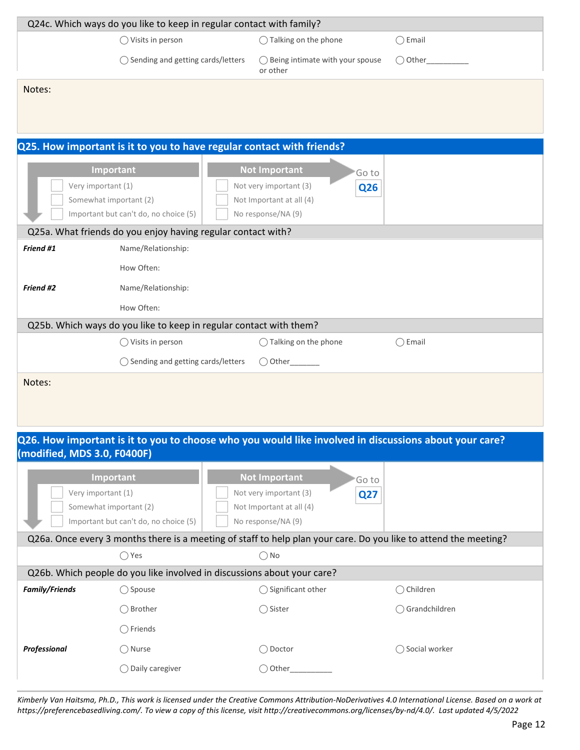|                             | Q24c. Which ways do you like to keep in regular contact with family?                                             |                                                         |                  |
|-----------------------------|------------------------------------------------------------------------------------------------------------------|---------------------------------------------------------|------------------|
|                             | ◯ Visits in person                                                                                               | ◯ Talking on the phone                                  | $\bigcirc$ Email |
|                             | ◯ Sending and getting cards/letters                                                                              | ◯ Being intimate with your spouse<br>or other           | $\bigcirc$ Other |
| Notes:                      |                                                                                                                  |                                                         |                  |
|                             |                                                                                                                  |                                                         |                  |
|                             |                                                                                                                  |                                                         |                  |
|                             | Q25. How important is it to you to have regular contact with friends?                                            |                                                         |                  |
|                             |                                                                                                                  |                                                         |                  |
| Very important (1)          | Important                                                                                                        | <b>Not Important</b><br>Go to<br>Not very important (3) |                  |
|                             | Somewhat important (2)                                                                                           | <b>Q26</b><br>Not Important at all (4)                  |                  |
|                             | Important but can't do, no choice (5)                                                                            | No response/NA (9)                                      |                  |
|                             | Q25a. What friends do you enjoy having regular contact with?                                                     |                                                         |                  |
| Friend #1                   | Name/Relationship:                                                                                               |                                                         |                  |
|                             | How Often:                                                                                                       |                                                         |                  |
| Friend #2                   | Name/Relationship:                                                                                               |                                                         |                  |
|                             | How Often:                                                                                                       |                                                         |                  |
|                             | Q25b. Which ways do you like to keep in regular contact with them?                                               |                                                         |                  |
|                             | $\bigcirc$ Visits in person                                                                                      | ◯ Talking on the phone                                  | $\bigcap$ Email  |
|                             | ◯ Sending and getting cards/letters                                                                              |                                                         |                  |
| Notes:                      |                                                                                                                  |                                                         |                  |
|                             |                                                                                                                  |                                                         |                  |
|                             |                                                                                                                  |                                                         |                  |
|                             |                                                                                                                  |                                                         |                  |
| (modified, MDS 3.0, F0400F) | Q26. How important is it to you to choose who you would like involved in discussions about your care?            |                                                         |                  |
|                             |                                                                                                                  |                                                         |                  |
|                             | Important                                                                                                        | <b>Not Important</b><br>Go to                           |                  |
| Very important (1)          |                                                                                                                  | Not very important (3)<br>Q27                           |                  |
|                             | Somewhat important (2)                                                                                           | Not Important at all (4)                                |                  |
|                             | Important but can't do, no choice (5)                                                                            | No response/NA (9)                                      |                  |
|                             | Q26a. Once every 3 months there is a meeting of staff to help plan your care. Do you like to attend the meeting? |                                                         |                  |
|                             | $\bigcirc$ Yes                                                                                                   | $\bigcirc$ No                                           |                  |
|                             | Q26b. Which people do you like involved in discussions about your care?                                          |                                                         |                  |
| <b>Family/Friends</b>       | ◯ Spouse                                                                                                         | ◯ Significant other                                     | ◯ Children       |
|                             | ◯ Brother                                                                                                        | ◯ Sister                                                | ◯ Grandchildren  |
|                             | $\bigcirc$ Friends                                                                                               |                                                         |                  |
| Professional                | ◯ Nurse                                                                                                          | ◯ Doctor                                                | ◯ Social worker  |
|                             | ◯ Daily caregiver                                                                                                | $\bigcirc$ Other_                                       |                  |
|                             |                                                                                                                  |                                                         |                  |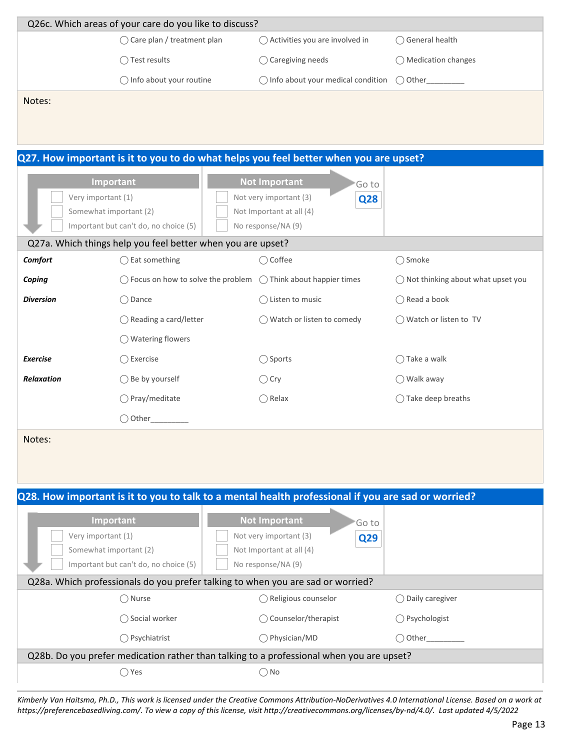|                   | Q26c. Which areas of your care do you like to discuss?          |                                                                                                    |                                              |
|-------------------|-----------------------------------------------------------------|----------------------------------------------------------------------------------------------------|----------------------------------------------|
|                   | ◯ Care plan / treatment plan                                    | ◯ Activities you are involved in                                                                   | ◯ General health                             |
|                   | ◯ Test results                                                  | $\bigcirc$ Caregiving needs                                                                        | ◯ Medication changes                         |
|                   | ◯ Info about your routine                                       | $\bigcirc$ Info about your medical condition                                                       | $\bigcirc$ Other                             |
| Notes:            |                                                                 |                                                                                                    |                                              |
|                   |                                                                 |                                                                                                    |                                              |
|                   |                                                                 | Q27. How important is it to you to do what helps you feel better when you are upset?               |                                              |
|                   | Important                                                       | <b>Not Important</b><br>Go to                                                                      |                                              |
|                   | Very important (1)                                              | Not very important (3)<br><b>Q28</b>                                                               |                                              |
|                   | Somewhat important (2)<br>Important but can't do, no choice (5) | Not Important at all (4)<br>No response/NA (9)                                                     |                                              |
|                   | Q27a. Which things help you feel better when you are upset?     |                                                                                                    |                                              |
| Comfort           | $\bigcirc$ Eat something                                        | ◯ Coffee                                                                                           | ◯ Smoke                                      |
| Coping            |                                                                 | $\bigcirc$ Focus on how to solve the problem $\bigcirc$ Think about happier times                  | $\bigcirc$ Not thinking about what upset you |
| <b>Diversion</b>  | $\bigcirc$ Dance                                                | $\bigcirc$ Listen to music                                                                         | $\bigcirc$ Read a book                       |
|                   | ◯ Reading a card/letter                                         | ◯ Watch or listen to comedy                                                                        | ◯ Watch or listen to TV                      |
|                   | ◯ Watering flowers                                              |                                                                                                    |                                              |
| <b>Exercise</b>   | Exercise<br>$($ )                                               | $\bigcirc$ Sports                                                                                  | $\bigcirc$ Take a walk                       |
| <b>Relaxation</b> | ◯ Be by yourself                                                | $\bigcirc$ Cry                                                                                     | $\bigcirc$ Walk away                         |
|                   | Pray/meditate                                                   | $\bigcirc$ Relax                                                                                   | $\bigcirc$ Take deep breaths                 |
|                   | $\bigcirc$ Other                                                |                                                                                                    |                                              |
| Notes:            |                                                                 |                                                                                                    |                                              |
|                   |                                                                 |                                                                                                    |                                              |
|                   |                                                                 |                                                                                                    |                                              |
|                   |                                                                 | Q28. How important is it to you to talk to a mental health professional if you are sad or worried? |                                              |
|                   |                                                                 |                                                                                                    |                                              |
|                   | Important<br>Very important (1)                                 | <b>Not Important</b><br>Goto<br>Not very important (3)                                             |                                              |
|                   | Somewhat important (2)                                          | Q29<br>Not Important at all (4)                                                                    |                                              |
|                   |                                                                 | No response/NA (9)                                                                                 |                                              |
|                   | Important but can't do, no choice (5)                           |                                                                                                    |                                              |

| ∩ Psychiatrist                                                                           | () Physician/MD | $( )$ Other |  |  |  |  |
|------------------------------------------------------------------------------------------|-----------------|-------------|--|--|--|--|
| Q28b. Do you prefer medication rather than talking to a professional when you are upset? |                 |             |  |  |  |  |
| s Yes                                                                                    | ∩ No            |             |  |  |  |  |

 $\bigcirc$  Social worker  $\bigcirc$  Counselor/therapist  $\bigcirc$  Psychologist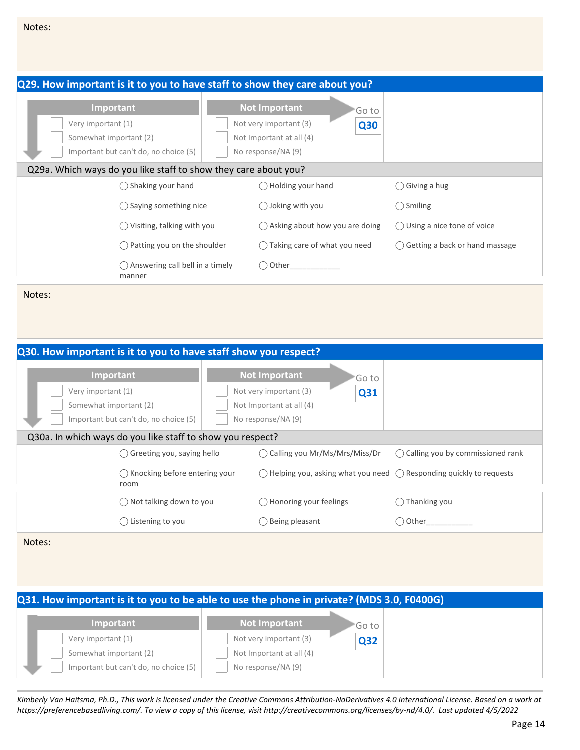| Notes:                                       |                                                                                            |                                                                                                                          |                                    |
|----------------------------------------------|--------------------------------------------------------------------------------------------|--------------------------------------------------------------------------------------------------------------------------|------------------------------------|
|                                              | Q29. How important is it to you to have staff to show they care about you?                 |                                                                                                                          |                                    |
| Very important (1)<br>Somewhat important (2) | Important<br>Important but can't do, no choice (5)                                         | <b>Not Important</b><br>'Go to<br>Not very important (3)<br><b>Q30</b><br>Not Important at all (4)<br>No response/NA (9) |                                    |
|                                              | Q29a. Which ways do you like staff to show they care about you?                            |                                                                                                                          |                                    |
|                                              | ◯ Shaking your hand                                                                        | ◯ Holding your hand                                                                                                      | $\bigcirc$ Giving a hug            |
|                                              | $\bigcirc$ Saying something nice                                                           | ◯ Joking with you                                                                                                        | $\bigcirc$ Smiling                 |
|                                              | $\bigcirc$ Visiting, talking with you                                                      | ◯ Asking about how you are doing                                                                                         | ◯ Using a nice tone of voice       |
|                                              | Patting you on the shoulder                                                                | ◯ Taking care of what you need                                                                                           | ◯ Getting a back or hand massage   |
|                                              | ◯ Answering call bell in a timely<br>manner                                                | $\bigcirc$ Other                                                                                                         |                                    |
|                                              | Q30. How important is it to you to have staff show you respect?<br>Important               | <b>Not Important</b>                                                                                                     |                                    |
| Very important (1)                           |                                                                                            | 'Go to<br>Not very important (3)<br>Q31                                                                                  |                                    |
| Somewhat important (2)                       |                                                                                            | Not Important at all (4)                                                                                                 |                                    |
|                                              | Important but can't do, no choice (5)                                                      | No response/NA (9)                                                                                                       |                                    |
|                                              | Q30a. In which ways do you like staff to show you respect?<br>◯ Greeting you, saying hello | ◯ Calling you Mr/Ms/Mrs/Miss/Dr                                                                                          | ◯ Calling you by commissioned rank |
|                                              | $\bigcirc$ Knocking before entering your<br>room                                           | $\bigcirc$ Helping you, asking what you need                                                                             | ◯ Responding quickly to requests   |
|                                              | ◯ Not talking down to you                                                                  | ◯ Honoring your feelings                                                                                                 | $\bigcirc$ Thanking you            |
|                                              | ◯ Listening to you                                                                         | $\bigcirc$ Being pleasant                                                                                                | $\bigcirc$ Other                   |
| Notes:                                       |                                                                                            |                                                                                                                          |                                    |
|                                              |                                                                                            | Q31. How important is it to you to be able to use the phone in private? (MDS 3.0, F0400G)                                |                                    |
|                                              |                                                                                            |                                                                                                                          |                                    |

| <b>Important</b>                      | <b>Not Important</b>     | 'Go to |
|---------------------------------------|--------------------------|--------|
| Very important (1)                    | Not very important (3)   | Q32    |
| Somewhat important (2)                | Not Important at all (4) |        |
| Important but can't do, no choice (5) | No response/NA (9)       |        |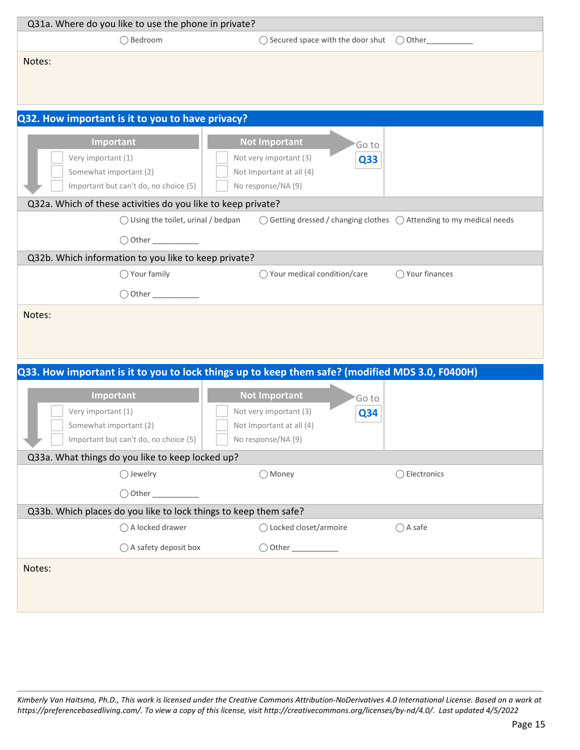| Q31a. Where do you like to use the phone in private?                                            |                                                                                        |                   |
|-------------------------------------------------------------------------------------------------|----------------------------------------------------------------------------------------|-------------------|
| ◯ Bedroom                                                                                       | ◯ Secured space with the door shut                                                     | $\bigcirc$ Other_ |
|                                                                                                 |                                                                                        |                   |
| Notes:                                                                                          |                                                                                        |                   |
|                                                                                                 |                                                                                        |                   |
|                                                                                                 |                                                                                        |                   |
| Q32. How important is it to you to have privacy?                                                |                                                                                        |                   |
|                                                                                                 |                                                                                        |                   |
| Important                                                                                       | <b>Not Important</b><br>'Go to                                                         |                   |
| Very important (1)                                                                              | Not very important (3)<br>Q33                                                          |                   |
| Somewhat important (2)<br>Important but can't do, no choice (5)                                 | Not Important at all (4)<br>No response/NA (9)                                         |                   |
|                                                                                                 |                                                                                        |                   |
| Q32a. Which of these activities do you like to keep private?                                    |                                                                                        |                   |
| $\bigcirc$ Using the toilet, urinal / bedpan                                                    | $\bigcirc$ Getting dressed / changing clothes $\bigcirc$ Attending to my medical needs |                   |
|                                                                                                 |                                                                                        |                   |
| Q32b. Which information to you like to keep private?                                            |                                                                                        |                   |
| $\bigcirc$ Your family                                                                          | ◯ Your medical condition/care                                                          | ◯ Your finances   |
|                                                                                                 |                                                                                        |                   |
| Notes:                                                                                          |                                                                                        |                   |
|                                                                                                 |                                                                                        |                   |
|                                                                                                 |                                                                                        |                   |
|                                                                                                 |                                                                                        |                   |
| Q33. How important is it to you to lock things up to keep them safe? (modified MDS 3.0, F0400H) |                                                                                        |                   |
| Important                                                                                       | <b>Not Important</b>                                                                   |                   |
| Very important (1)                                                                              | 'Go to<br>Not very important (3)                                                       |                   |
| Somewhat important (2)                                                                          | Q34<br>Not Important at all (4)                                                        |                   |
| Important but can't do, no choice (5)                                                           | No response/NA (9)                                                                     |                   |
| Q33a. What things do you like to keep locked up?                                                |                                                                                        |                   |
| ◯ Jewelry                                                                                       | ◯ Money                                                                                | ◯ Electronics     |
|                                                                                                 |                                                                                        |                   |
| $\bigcirc$ Other                                                                                |                                                                                        |                   |
| Q33b. Which places do you like to lock things to keep them safe?                                |                                                                                        |                   |
| ◯ A locked drawer                                                                               | ◯ Locked closet/armoire                                                                | $\bigcap$ A safe  |
| ◯ A safety deposit box                                                                          |                                                                                        |                   |
| Notes:                                                                                          |                                                                                        |                   |
|                                                                                                 |                                                                                        |                   |
|                                                                                                 |                                                                                        |                   |
|                                                                                                 |                                                                                        |                   |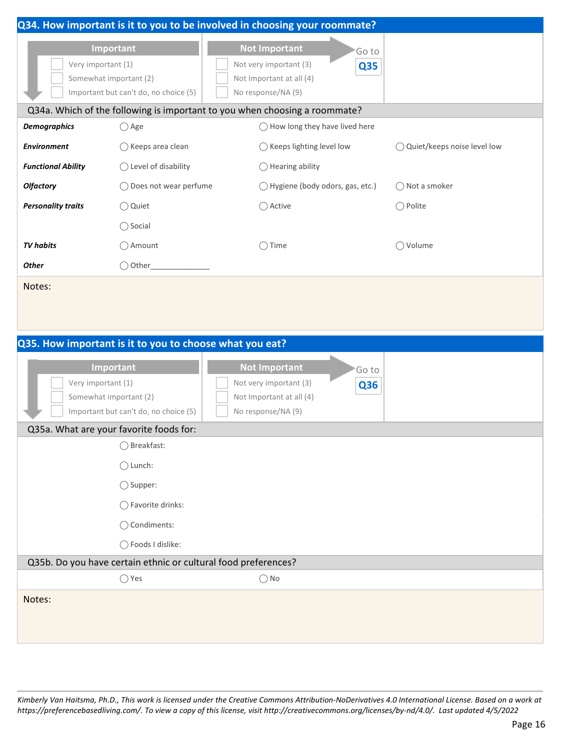|                                                         |                                                    | Q34. How important is it to you to be involved in choosing your roommate?                                                |                               |
|---------------------------------------------------------|----------------------------------------------------|--------------------------------------------------------------------------------------------------------------------------|-------------------------------|
| Very important (1)<br>Somewhat important (2)            | Important<br>Important but can't do, no choice (5) | <b>Not Important</b><br>'Go to<br>Not very important (3)<br><b>Q35</b><br>Not Important at all (4)<br>No response/NA (9) |                               |
|                                                         |                                                    | Q34a. Which of the following is important to you when choosing a roommate?                                               |                               |
| <b>Demographics</b>                                     | $\bigcirc$ Age                                     | $\bigcirc$ How long they have lived here                                                                                 |                               |
| <b>Environment</b>                                      | $\bigcirc$ Keeps area clean                        | $\bigcirc$ Keeps lighting level low                                                                                      | ◯ Quiet/keeps noise level low |
| <b>Functional Ability</b>                               | $\bigcirc$ Level of disability                     | $\bigcirc$ Hearing ability                                                                                               |                               |
| <b>Olfactory</b>                                        | ◯ Does not wear perfume                            | ◯ Hygiene (body odors, gas, etc.)                                                                                        | ◯ Not a smoker                |
| <b>Personality traits</b>                               | ○ Quiet                                            | ◯ Active                                                                                                                 | $\bigcirc$ Polite             |
|                                                         | $\bigcirc$ Social                                  |                                                                                                                          |                               |
| <b>TV</b> habits                                        | ◯ Amount                                           | $\bigcirc$ Time                                                                                                          | ◯ Volume                      |
| <b>Other</b>                                            | $\bigcirc$ Other_                                  |                                                                                                                          |                               |
| Notes:                                                  |                                                    |                                                                                                                          |                               |
|                                                         |                                                    |                                                                                                                          |                               |
|                                                         |                                                    |                                                                                                                          |                               |
| Q35. How important is it to you to choose what you eat? |                                                    |                                                                                                                          |                               |
| Very important (1)<br>Somewhat important (2)            | Important<br>Important but can't do, no choice (5) | <b>Not Important</b><br>'Go to<br>Not very important (3)<br><b>Q36</b><br>Not Important at all (4)<br>No response/NA (9) |                               |
| Q35a. What are your favorite foods for:                 |                                                    |                                                                                                                          |                               |
|                                                         | ◯ Breakfast:                                       |                                                                                                                          |                               |
|                                                         | $\bigcirc$ Lunch:                                  |                                                                                                                          |                               |
|                                                         | $\bigcirc$ Supper:                                 |                                                                                                                          |                               |
|                                                         | ◯ Favorite drinks:                                 |                                                                                                                          |                               |
|                                                         | ◯ Condiments:                                      |                                                                                                                          |                               |
|                                                         | ○ Foods I dislike:                                 |                                                                                                                          |                               |
|                                                         |                                                    | Q35b. Do you have certain ethnic or cultural food preferences?                                                           |                               |
|                                                         | $\bigcirc$ Yes                                     | $\bigcirc$ No                                                                                                            |                               |
| Notes:                                                  |                                                    |                                                                                                                          |                               |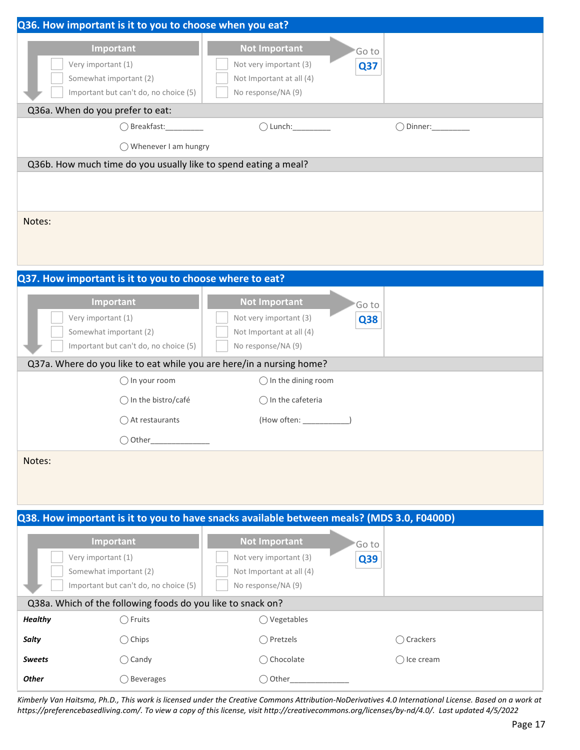|                                                                                                    | Q36. How important is it to you to choose when you eat?                                                                                                                                       |                      |
|----------------------------------------------------------------------------------------------------|-----------------------------------------------------------------------------------------------------------------------------------------------------------------------------------------------|----------------------|
| Important<br>Very important (1)<br>Somewhat important (2)<br>Important but can't do, no choice (5) | <b>Not Important</b><br>Not very important (3)<br>Not Important at all (4)<br>No response/NA (9)                                                                                              | Go to<br>Q37         |
| Q36a. When do you prefer to eat:                                                                   |                                                                                                                                                                                               |                      |
| $\bigcirc$ Breakfast:                                                                              | $\bigcirc$ Lunch: $\_$                                                                                                                                                                        | () Dinner:           |
| ◯ Whenever I am hungry                                                                             |                                                                                                                                                                                               |                      |
| Q36b. How much time do you usually like to spend eating a meal?                                    |                                                                                                                                                                                               |                      |
|                                                                                                    |                                                                                                                                                                                               |                      |
| Notes:                                                                                             |                                                                                                                                                                                               |                      |
| Q37. How important is it to you to choose where to eat?                                            |                                                                                                                                                                                               |                      |
| Important<br>Very important (1)<br>Somewhat important (2)<br>Important but can't do, no choice (5) | <b>Not Important</b><br>Not very important (3)<br>Not Important at all (4)<br>No response/NA (9)                                                                                              | 'Go to<br><b>Q38</b> |
|                                                                                                    | Q37a. Where do you like to eat while you are here/in a nursing home?                                                                                                                          |                      |
|                                                                                                    | $\bigcirc$ In the dining room                                                                                                                                                                 |                      |
| $\bigcirc$ In your room                                                                            |                                                                                                                                                                                               |                      |
| $\bigcirc$ In the bistro/café                                                                      | $\bigcirc$ In the cafeteria                                                                                                                                                                   |                      |
| $\bigcirc$ At restaurants                                                                          |                                                                                                                                                                                               |                      |
|                                                                                                    |                                                                                                                                                                                               |                      |
| $\bigcirc$ Other<br>Notes:                                                                         |                                                                                                                                                                                               |                      |
|                                                                                                    |                                                                                                                                                                                               |                      |
| Important<br>Very important (1)<br>Somewhat important (2)<br>Important but can't do, no choice (5) | Q38. How important is it to you to have snacks available between meals? (MDS 3.0, F0400D)<br><b>Not Important</b><br>Not very important (3)<br>Not Important at all (4)<br>No response/NA (9) | 'Go to<br>Q39        |
| Q38a. Which of the following foods do you like to snack on?                                        |                                                                                                                                                                                               |                      |
| <b>Healthy</b><br>$\bigcirc$ Fruits                                                                | $\bigcirc$ Vegetables                                                                                                                                                                         |                      |
| $\bigcirc$ Chips<br><b>Salty</b>                                                                   | ◯ Pretzels                                                                                                                                                                                    | ◯ Crackers           |
| $\bigcirc$ Candy<br><b>Sweets</b>                                                                  | ◯ Chocolate                                                                                                                                                                                   | $\bigcirc$ Ice cream |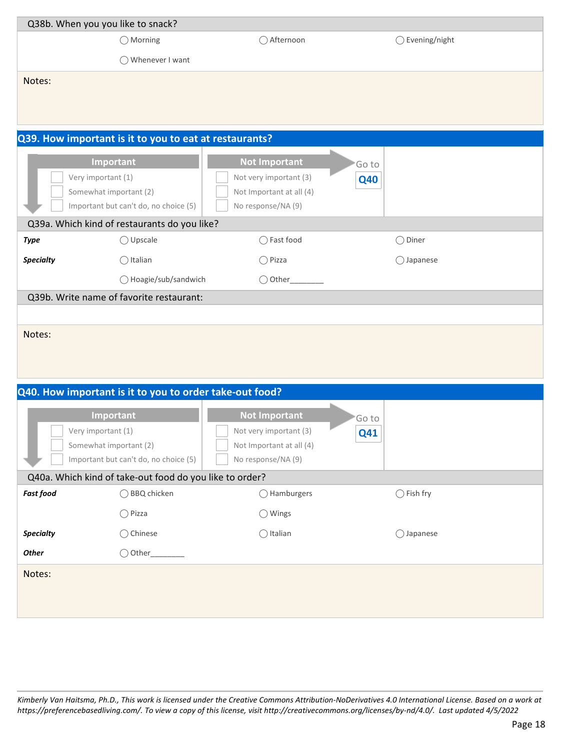| Q38b. When you you like to snack? |                                                                 |                                                |                      |                          |
|-----------------------------------|-----------------------------------------------------------------|------------------------------------------------|----------------------|--------------------------|
|                                   | $\bigcirc$ Morning                                              | ◯ Afternoon                                    |                      | $\bigcirc$ Evening/night |
|                                   | ◯ Whenever I want                                               |                                                |                      |                          |
| Notes:                            |                                                                 |                                                |                      |                          |
|                                   |                                                                 |                                                |                      |                          |
|                                   |                                                                 |                                                |                      |                          |
|                                   | Q39. How important is it to you to eat at restaurants?          |                                                |                      |                          |
|                                   | Important                                                       | <b>Not Important</b>                           |                      |                          |
| Very important (1)                |                                                                 | Not very important (3)                         | 'Go to<br><b>Q40</b> |                          |
|                                   | Somewhat important (2)                                          | Not Important at all (4)                       |                      |                          |
|                                   | Important but can't do, no choice (5)                           | No response/NA (9)                             |                      |                          |
|                                   | Q39a. Which kind of restaurants do you like?                    |                                                |                      |                          |
| <b>Type</b>                       | ◯ Upscale                                                       | ◯ Fast food                                    | $\bigcirc$ Diner     |                          |
| <b>Specialty</b>                  | $\bigcirc$ Italian                                              | $\bigcirc$ Pizza                               | $\bigcirc$ Japanese  |                          |
|                                   | ◯ Hoagie/sub/sandwich                                           | $\bigcirc$ Other_                              |                      |                          |
|                                   | Q39b. Write name of favorite restaurant:                        |                                                |                      |                          |
|                                   |                                                                 |                                                |                      |                          |
| Notes:                            |                                                                 |                                                |                      |                          |
|                                   |                                                                 |                                                |                      |                          |
|                                   |                                                                 |                                                |                      |                          |
|                                   |                                                                 |                                                |                      |                          |
|                                   | Q40. How important is it to you to order take-out food?         |                                                |                      |                          |
|                                   | Important                                                       | <b>Not Important</b>                           | 'Go to               |                          |
| Very important (1)                |                                                                 | Not very important (3)                         | <b>Q41</b>           |                          |
|                                   | Somewhat important (2)<br>Important but can't do, no choice (5) | Not Important at all (4)<br>No response/NA (9) |                      |                          |
|                                   |                                                                 |                                                |                      |                          |
|                                   | Q40a. Which kind of take-out food do you like to order?         |                                                |                      |                          |
| <b>Fast food</b>                  | ◯ BBQ chicken                                                   | ◯ Hamburgers                                   | $\bigcirc$ Fish fry  |                          |
|                                   | $\bigcirc$ Pizza                                                | ◯ Wings                                        |                      |                          |
| <b>Specialty</b>                  | ◯ Chinese                                                       | $\bigcirc$ Italian                             | ◯ Japanese           |                          |
| <b>Other</b>                      | $\bigcirc$ Other_                                               |                                                |                      |                          |
| Notes:                            |                                                                 |                                                |                      |                          |
|                                   |                                                                 |                                                |                      |                          |
|                                   |                                                                 |                                                |                      |                          |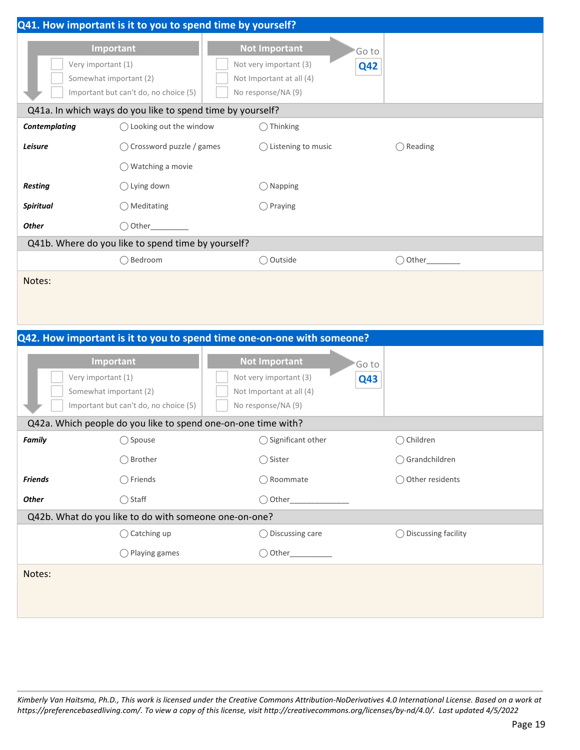|                                                                                                    |                                                                              | Q41. How important is it to you to spend time by yourself?                                       |                      |                       |
|----------------------------------------------------------------------------------------------------|------------------------------------------------------------------------------|--------------------------------------------------------------------------------------------------|----------------------|-----------------------|
| Important<br>Very important (1)<br>Somewhat important (2)<br>Important but can't do, no choice (5) |                                                                              | <b>Not Important</b><br>Not very important (3)<br>Not Important at all (4)<br>No response/NA (9) | 'Go to<br><b>Q42</b> |                       |
|                                                                                                    | Q41a. In which ways do you like to spend time by yourself?                   |                                                                                                  |                      |                       |
| <b>Contemplating</b>                                                                               | $\bigcirc$ Looking out the window                                            | $\bigcirc$ Thinking                                                                              |                      |                       |
| Leisure                                                                                            | ◯ Crossword puzzle / games                                                   | $\bigcirc$ Listening to music<br>$\bigcirc$ Reading                                              |                      |                       |
|                                                                                                    | $\bigcirc$ Watching a movie                                                  |                                                                                                  |                      |                       |
| <b>Resting</b>                                                                                     | $\bigcirc$ Lying down                                                        | $\bigcirc$ Napping                                                                               |                      |                       |
| <b>Spiritual</b>                                                                                   | ◯ Meditating                                                                 | $\bigcirc$ Praying                                                                               |                      |                       |
| <b>Other</b>                                                                                       | $\bigcirc$ Other                                                             |                                                                                                  |                      |                       |
|                                                                                                    | Q41b. Where do you like to spend time by yourself?                           |                                                                                                  |                      |                       |
|                                                                                                    | ◯ Bedroom                                                                    | ○ Outside                                                                                        |                      | $\bigcirc$ Other      |
|                                                                                                    |                                                                              | Q42. How important is it to you to spend time one-on-one with someone?                           |                      |                       |
|                                                                                                    |                                                                              |                                                                                                  |                      |                       |
| Very important (1)                                                                                 | Important<br>Somewhat important (2)<br>Important but can't do, no choice (5) | <b>Not Important</b><br>Not very important (3)<br>Not Important at all (4)<br>No response/NA (9) | 'Go to<br><b>Q43</b> |                       |
|                                                                                                    |                                                                              | Q42a. Which people do you like to spend one-on-one time with?                                    |                      |                       |
| Family                                                                                             | $\bigcirc$ Spouse                                                            | ◯ Significant other                                                                              |                      | ◯ Children            |
|                                                                                                    | ◯ Brother                                                                    | ◯ Sister                                                                                         |                      | ○ Grandchildren       |
| <b>Friends</b>                                                                                     | $\bigcirc$ Friends                                                           | ◯ Roommate                                                                                       |                      | ◯ Other residents     |
| <b>Other</b>                                                                                       | $\bigcirc$ Staff                                                             | $\bigcirc$ Other                                                                                 |                      |                       |
|                                                                                                    | Q42b. What do you like to do with someone one-on-one?                        |                                                                                                  |                      |                       |
|                                                                                                    | $\bigcirc$ Catching up                                                       | $\bigcirc$ Discussing care                                                                       |                      | ◯ Discussing facility |
|                                                                                                    | ◯ Playing games                                                              |                                                                                                  |                      |                       |
| Notes:                                                                                             |                                                                              |                                                                                                  |                      |                       |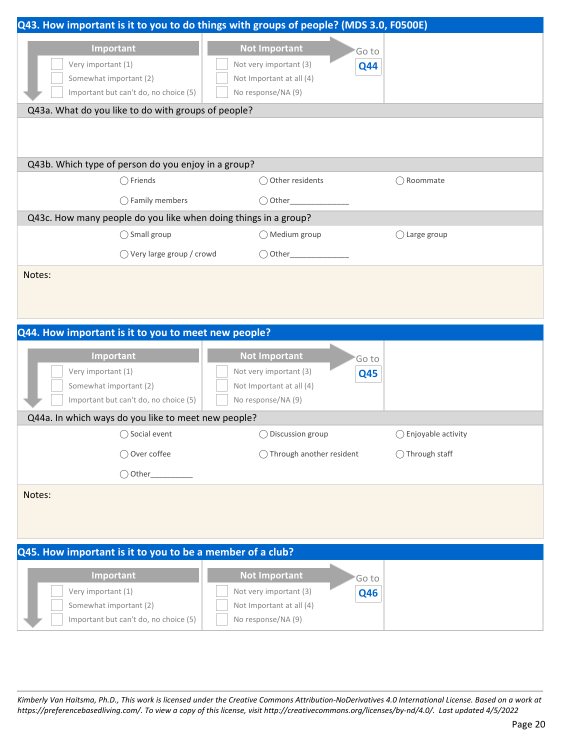| Q43. How important is it to you to do things with groups of people? (MDS 3.0, F0500E) |                                                |                        |
|---------------------------------------------------------------------------------------|------------------------------------------------|------------------------|
|                                                                                       |                                                |                        |
| Important                                                                             | <b>Not Important</b>                           | Go to                  |
| Very important (1)                                                                    | Not very important (3)                         | <b>Q44</b>             |
| Somewhat important (2)                                                                | Not Important at all (4)                       |                        |
| Important but can't do, no choice (5)                                                 | No response/NA (9)                             |                        |
| Q43a. What do you like to do with groups of people?                                   |                                                |                        |
|                                                                                       |                                                |                        |
|                                                                                       |                                                |                        |
| Q43b. Which type of person do you enjoy in a group?                                   |                                                |                        |
| $\bigcirc$ Friends                                                                    | ◯ Other residents                              | $\bigcirc$ Roommate    |
|                                                                                       |                                                |                        |
| $\bigcirc$ Family members                                                             |                                                |                        |
| Q43c. How many people do you like when doing things in a group?                       |                                                |                        |
| ◯ Small group                                                                         | ◯ Medium group                                 | $\bigcirc$ Large group |
| $\bigcirc$ Very large group / crowd                                                   |                                                |                        |
| Notes:                                                                                |                                                |                        |
|                                                                                       |                                                |                        |
|                                                                                       |                                                |                        |
|                                                                                       |                                                |                        |
|                                                                                       |                                                |                        |
| Q44. How important is it to you to meet new people?                                   |                                                |                        |
|                                                                                       |                                                |                        |
| Important                                                                             | <b>Not Important</b>                           | Go to                  |
| Very important (1)                                                                    | Not very important (3)                         | <b>Q45</b>             |
| Somewhat important (2)                                                                | Not Important at all (4)                       |                        |
| Important but can't do, no choice (5)                                                 | No response/NA (9)                             |                        |
| Q44a. In which ways do you like to meet new people?                                   |                                                |                        |
| $\bigcirc$ Social event                                                               | ◯ Discussion group                             | ◯ Enjoyable activity   |
| ◯ Over coffee                                                                         | ◯ Through another resident                     | ◯ Through staff        |
| $\bigcirc$ Other                                                                      |                                                |                        |
| Notes:                                                                                |                                                |                        |
|                                                                                       |                                                |                        |
|                                                                                       |                                                |                        |
|                                                                                       |                                                |                        |
| Q45. How important is it to you to be a member of a club?                             |                                                |                        |
|                                                                                       |                                                |                        |
| Important                                                                             | <b>Not Important</b>                           | Go to                  |
| Very important (1)                                                                    | Not very important (3)                         | <b>Q46</b>             |
| Somewhat important (2)<br>Important but can't do, no choice (5)                       | Not Important at all (4)<br>No response/NA (9) |                        |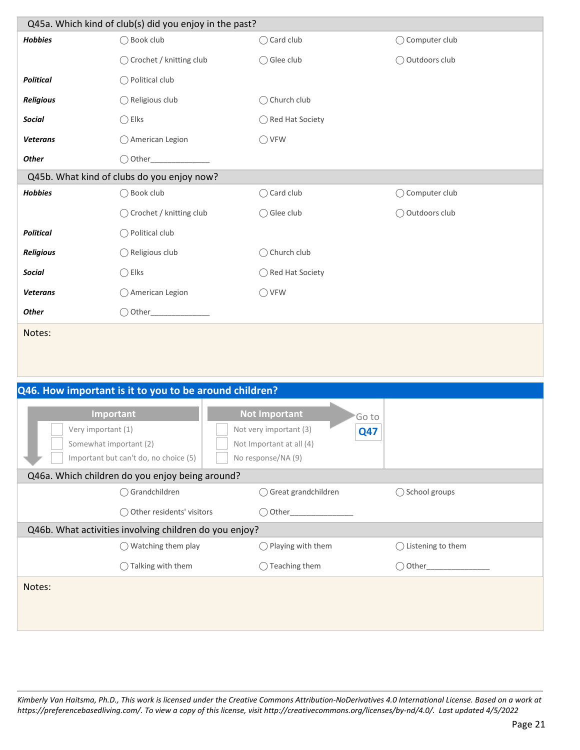| Q45a. Which kind of club(s) did you enjoy in the past? |                                                        |                                                                                                                         |                              |  |  |
|--------------------------------------------------------|--------------------------------------------------------|-------------------------------------------------------------------------------------------------------------------------|------------------------------|--|--|
| <b>Hobbies</b>                                         | ◯ Book club                                            | ◯ Card club                                                                                                             | ◯ Computer club              |  |  |
|                                                        | ◯ Crochet / knitting club                              | ◯ Glee club                                                                                                             | ◯ Outdoors club              |  |  |
| <b>Political</b>                                       | $\bigcirc$ Political club                              |                                                                                                                         |                              |  |  |
| Religious                                              | $\bigcirc$ Religious club                              | ◯ Church club                                                                                                           |                              |  |  |
| <b>Social</b>                                          | $\bigcirc$ Elks                                        | ◯ Red Hat Society                                                                                                       |                              |  |  |
| <b>Veterans</b>                                        | $\bigcirc$ American Legion                             | $\bigcirc$ VFW                                                                                                          |                              |  |  |
| <b>Other</b>                                           | $\bigcirc$ Other                                       |                                                                                                                         |                              |  |  |
|                                                        | Q45b. What kind of clubs do you enjoy now?             |                                                                                                                         |                              |  |  |
| <b>Hobbies</b>                                         | ◯ Book club                                            | ◯ Card club                                                                                                             | ○ Computer club              |  |  |
|                                                        | ◯ Crochet / knitting club                              | ◯ Glee club                                                                                                             | ◯ Outdoors club              |  |  |
| <b>Political</b>                                       | $\bigcirc$ Political club                              |                                                                                                                         |                              |  |  |
| <b>Religious</b>                                       | ◯ Religious club                                       | ◯ Church club                                                                                                           |                              |  |  |
| <b>Social</b>                                          | $\bigcirc$ Elks                                        | ◯ Red Hat Society                                                                                                       |                              |  |  |
| <b>Veterans</b>                                        | ◯ American Legion                                      | $\bigcirc$ VFW                                                                                                          |                              |  |  |
| <b>Other</b>                                           |                                                        |                                                                                                                         |                              |  |  |
| Notes:                                                 |                                                        |                                                                                                                         |                              |  |  |
|                                                        | Q46. How important is it to you to be around children? |                                                                                                                         |                              |  |  |
| Very important (1)<br>Somewhat important (2)           | Important<br>Important but can't do, no choice (5)     | <b>Not Important</b><br>Go to<br>Not very important (3)<br><b>Q47</b><br>Not Important at all (4)<br>No response/NA (9) |                              |  |  |
|                                                        | Q46a. Which children do you enjoy being around?        |                                                                                                                         |                              |  |  |
|                                                        | ○ Grandchildren                                        | ○ Great grandchildren                                                                                                   | ◯ School groups              |  |  |
|                                                        | ◯ Other residents' visitors                            |                                                                                                                         |                              |  |  |
|                                                        | Q46b. What activities involving children do you enjoy? |                                                                                                                         |                              |  |  |
|                                                        | $\bigcirc$ Watching them play                          | ◯ Playing with them                                                                                                     | $\bigcirc$ Listening to them |  |  |
|                                                        | ◯ Talking with them                                    | $\bigcirc$ Teaching them                                                                                                |                              |  |  |
| Notes:                                                 |                                                        |                                                                                                                         |                              |  |  |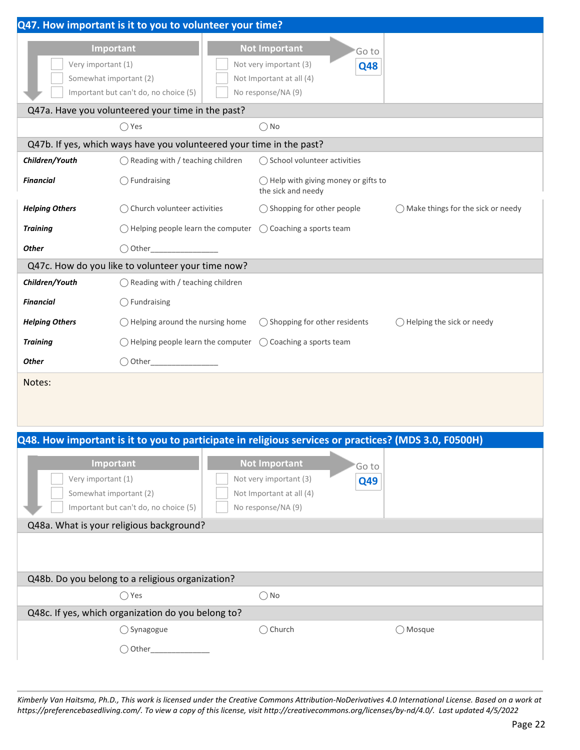|                        | Q47. How important is it to you to volunteer your time?                                              |                                                                     |                                              |
|------------------------|------------------------------------------------------------------------------------------------------|---------------------------------------------------------------------|----------------------------------------------|
|                        | Important                                                                                            | <b>Not Important</b><br>Go to                                       |                                              |
| Very important (1)     |                                                                                                      | Not very important (3)<br><b>Q48</b>                                |                                              |
| Somewhat important (2) |                                                                                                      | Not Important at all (4)                                            |                                              |
|                        | Important but can't do, no choice (5)                                                                | No response/NA (9)                                                  |                                              |
|                        | Q47a. Have you volunteered your time in the past?                                                    |                                                                     |                                              |
|                        | $\bigcirc$ Yes                                                                                       | $\bigcirc$ No                                                       |                                              |
|                        | Q47b. If yes, which ways have you volunteered your time in the past?                                 |                                                                     |                                              |
| Children/Youth         | $\bigcirc$ Reading with / teaching children                                                          | ◯ School volunteer activities                                       |                                              |
| <b>Financial</b>       | $\bigcirc$ Fundraising                                                                               | $\bigcirc$ Help with giving money or gifts to<br>the sick and needy |                                              |
| <b>Helping Others</b>  | ◯ Church volunteer activities                                                                        | $\bigcirc$ Shopping for other people                                | $\bigcirc$ Make things for the sick or needy |
| <b>Training</b>        | $\bigcirc$ Helping people learn the computer                                                         | ◯ Coaching a sports team                                            |                                              |
| <b>Other</b>           | $\bigcirc$ Other                                                                                     |                                                                     |                                              |
|                        | Q47c. How do you like to volunteer your time now?                                                    |                                                                     |                                              |
| Children/Youth         | $\bigcirc$ Reading with / teaching children                                                          |                                                                     |                                              |
| <b>Financial</b>       | $\bigcirc$ Fundraising                                                                               |                                                                     |                                              |
| <b>Helping Others</b>  | $\bigcirc$ Helping around the nursing home                                                           | $\bigcirc$ Shopping for other residents                             | $\bigcirc$ Helping the sick or needy         |
| <b>Training</b>        | $\bigcirc$ Helping people learn the computer $\bigcirc$ Coaching a sports team                       |                                                                     |                                              |
| <b>Other</b>           |                                                                                                      |                                                                     |                                              |
| Notes:                 |                                                                                                      |                                                                     |                                              |
|                        |                                                                                                      |                                                                     |                                              |
|                        |                                                                                                      |                                                                     |                                              |
|                        | Q48. How important is it to you to participate in religious services or practices? (MDS 3.0, F0500H) |                                                                     |                                              |
|                        |                                                                                                      |                                                                     |                                              |
|                        | Important                                                                                            | <b>Not Important</b><br>Go to                                       |                                              |
| Very important (1)     |                                                                                                      | Not very important (3)<br>Q49                                       |                                              |
| Somewhat important (2) |                                                                                                      | Not Important at all (4)                                            |                                              |
|                        | Important but can't do, no choice (5)<br>Q48a. What is your religious background?                    | No response/NA (9)                                                  |                                              |
|                        |                                                                                                      |                                                                     |                                              |
|                        |                                                                                                      |                                                                     |                                              |
|                        |                                                                                                      |                                                                     |                                              |
|                        | Q48b. Do you belong to a religious organization?                                                     |                                                                     |                                              |
|                        | $\bigcirc$ Yes                                                                                       | $\bigcirc$ No                                                       |                                              |
|                        | Q48c. If yes, which organization do you belong to?                                                   |                                                                     |                                              |
|                        | ◯ Synagogue                                                                                          | ◯ Church                                                            | ◯ Mosque                                     |
|                        | ◯ Other_______________                                                                               |                                                                     |                                              |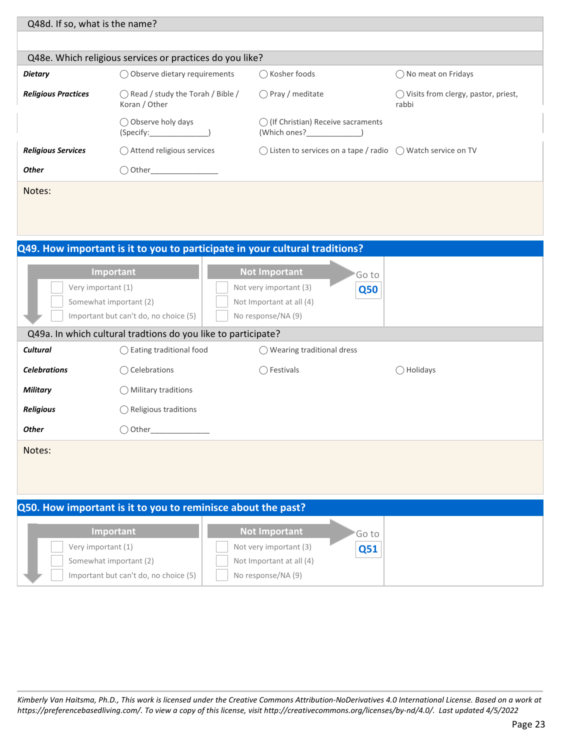| Q48d. If so, what is the name? |                                                                                                                                        |                                                                                |                                                         |
|--------------------------------|----------------------------------------------------------------------------------------------------------------------------------------|--------------------------------------------------------------------------------|---------------------------------------------------------|
|                                |                                                                                                                                        |                                                                                |                                                         |
|                                | Q48e. Which religious services or practices do you like?                                                                               |                                                                                |                                                         |
| <b>Dietary</b>                 | Observe dietary requirements                                                                                                           | $\bigcap$ Kosher foods                                                         | () No meat on Fridays                                   |
| <b>Religious Practices</b>     | $\bigcap$ Read / study the Torah / Bible /<br>Koran / Other                                                                            | $\bigcap$ Pray / meditate                                                      | $\bigcirc$ Visits from clergy, pastor, priest,<br>rabbi |
|                                | ○ Observe holy days<br>(Specify: when the second second second second second second second second second second second second second s | () (If Christian) Receive sacraments<br>(Which ones?                           |                                                         |
| <b>Religious Services</b>      | $\bigcirc$ Attend religious services                                                                                                   | $\bigcirc$ Listen to services on a tape / radio $\bigcirc$ Watch service on TV |                                                         |
| <b>Other</b>                   | $\bigcirc$ Other                                                                                                                       |                                                                                |                                                         |
| Notes:                         |                                                                                                                                        |                                                                                |                                                         |

|                                                                                                    |                                                               | Q49. How important is it to you to participate in your cultural traditions?                      |                     |
|----------------------------------------------------------------------------------------------------|---------------------------------------------------------------|--------------------------------------------------------------------------------------------------|---------------------|
| Important<br>Very important (1)<br>Somewhat important (2)<br>Important but can't do, no choice (5) |                                                               | <b>Not Important</b><br>Not very important (3)<br>Not Important at all (4)<br>No response/NA (9) | Go to<br><b>Q50</b> |
|                                                                                                    | Q49a. In which cultural tradtions do you like to participate? |                                                                                                  |                     |
| <b>Cultural</b>                                                                                    | $\bigcirc$ Eating traditional food                            | $\bigcirc$ Wearing traditional dress                                                             |                     |
| <b>Celebrations</b>                                                                                | Celebrations<br>( )                                           | ◯ Festivals                                                                                      | Holidays            |
| <b>Military</b>                                                                                    | $\bigcirc$ Military traditions                                |                                                                                                  |                     |
| <b>Religious</b>                                                                                   | $\bigcirc$ Religious traditions                               |                                                                                                  |                     |
| <b>Other</b>                                                                                       | ◯ Other                                                       |                                                                                                  |                     |
| Notes:                                                                                             |                                                               |                                                                                                  |                     |

| Q50. How important is it to you to reminisce about the past?                          |                                                                          |        |  |
|---------------------------------------------------------------------------------------|--------------------------------------------------------------------------|--------|--|
| Important                                                                             | Not Important                                                            | 'Go to |  |
| Very important (1)<br>Somewhat important (2)<br>Important but can't do, no choice (5) | Not very important (3)<br>Not Important at all (4)<br>No response/NA (9) | Q51    |  |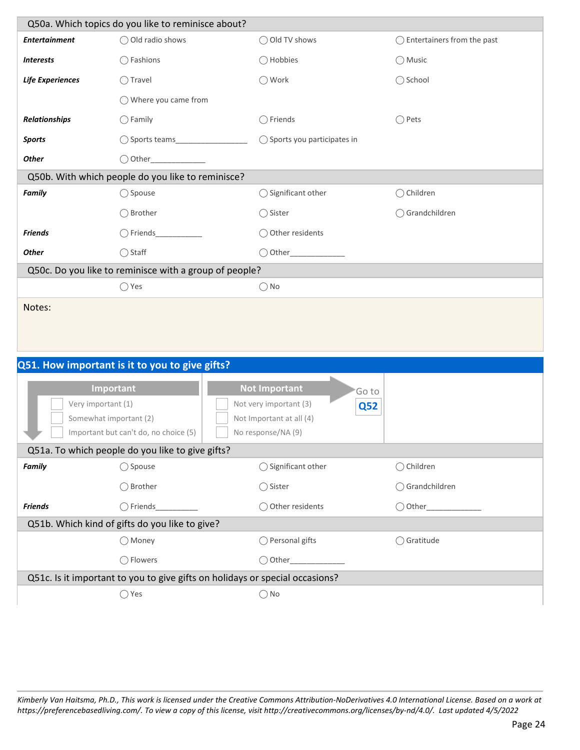| Q50a. Which topics do you like to reminisce about?     |                                                   |                                       |                                       |  |
|--------------------------------------------------------|---------------------------------------------------|---------------------------------------|---------------------------------------|--|
| <b>Entertainment</b>                                   | ◯ Old radio shows                                 | ◯ Old TV shows                        | $\bigcirc$ Entertainers from the past |  |
| <b>Interests</b>                                       | $\bigcirc$ Fashions                               | ◯ Hobbies                             | $\bigcirc$ Music                      |  |
| <b>Life Experiences</b>                                | $\bigcap$ Travel                                  | ◯ Work                                | ◯ School                              |  |
|                                                        | $\bigcirc$ Where you came from                    |                                       |                                       |  |
| <b>Relationships</b>                                   | $\bigcap$ Family                                  | Friends                               | $\bigcap$ Pets                        |  |
| <b>Sports</b>                                          |                                                   | $\bigcirc$ Sports you participates in |                                       |  |
| <b>Other</b>                                           | $\bigcirc$ Other                                  |                                       |                                       |  |
|                                                        | Q50b. With which people do you like to reminisce? |                                       |                                       |  |
| <b>Family</b>                                          | $\bigcirc$ Spouse                                 | $\bigcirc$ Significant other          | $\bigcirc$ Children                   |  |
|                                                        | ◯ Brother                                         | $\bigcirc$ Sister                     | ◯ Grandchildren                       |  |
| <b>Friends</b>                                         | $\bigcap$ Friends                                 | $\bigcirc$ Other residents            |                                       |  |
| <b>Other</b>                                           | $\bigcirc$ Staff                                  | Other                                 |                                       |  |
| Q50c. Do you like to reminisce with a group of people? |                                                   |                                       |                                       |  |
|                                                        | $\bigcirc$ Yes                                    | $\bigcap$ No                          |                                       |  |
| Notes:                                                 |                                                   |                                       |                                       |  |

| Q51. How important is it to you to give gifts?                               |                                                                       |                      |  |
|------------------------------------------------------------------------------|-----------------------------------------------------------------------|----------------------|--|
| Important<br>Very important (1)                                              | <b>Not Important</b><br>Go to<br>Not very important (3)<br><b>Q52</b> |                      |  |
| Somewhat important (2)                                                       | Not Important at all (4)                                              |                      |  |
| Important but can't do, no choice (5)                                        | No response/NA (9)                                                    |                      |  |
| Q51a. To which people do you like to give gifts?                             |                                                                       |                      |  |
| $\bigcirc$ Spouse<br><b>Family</b>                                           | $\bigcirc$ Significant other                                          | $\bigcirc$ Children  |  |
| ◯ Brother                                                                    | $\bigcirc$ Sister                                                     | ◯ Grandchildren      |  |
| <b>Friends</b><br>○ Friends                                                  | ◯ Other residents                                                     | ( ) Other            |  |
| Q51b. Which kind of gifts do you like to give?                               |                                                                       |                      |  |
| ◯ Money                                                                      | ◯ Personal gifts                                                      | $\bigcirc$ Gratitude |  |
| ◯ Flowers                                                                    | $\bigcirc$ Other                                                      |                      |  |
| Q51c. Is it important to you to give gifts on holidays or special occasions? |                                                                       |                      |  |
| Yes                                                                          | $\bigcirc$ No                                                         |                      |  |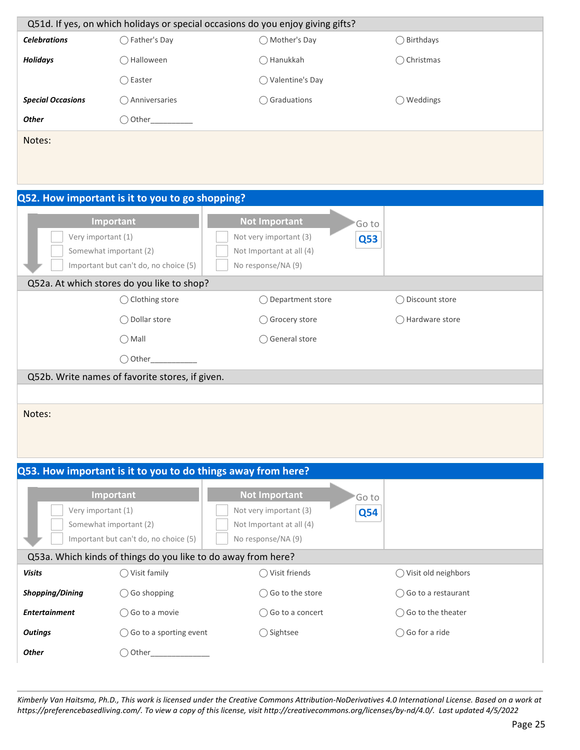|                          |                                                               | Q51d. If yes, on which holidays or special occasions do you enjoy giving gifts? |                               |
|--------------------------|---------------------------------------------------------------|---------------------------------------------------------------------------------|-------------------------------|
| <b>Celebrations</b>      | ◯ Father's Day                                                | ◯ Mother's Day                                                                  | ◯ Birthdays                   |
| <b>Holidays</b>          | ◯ Halloween                                                   | ◯ Hanukkah                                                                      | ◯ Christmas                   |
|                          | $\bigcirc$ Easter                                             | ◯ Valentine's Day                                                               |                               |
| <b>Special Occasions</b> | ◯ Anniversaries                                               | $\bigcirc$ Graduations                                                          | $\bigcirc$ Weddings           |
| <b>Other</b>             |                                                               |                                                                                 |                               |
| Notes:                   |                                                               |                                                                                 |                               |
|                          |                                                               |                                                                                 |                               |
|                          |                                                               |                                                                                 |                               |
|                          | Q52. How important is it to you to go shopping?               |                                                                                 |                               |
|                          |                                                               |                                                                                 |                               |
| Very important (1)       | Important                                                     | <b>Not Important</b><br>'Go to<br>Not very important (3)                        |                               |
|                          | Somewhat important (2)                                        | <b>Q53</b><br>Not Important at all (4)                                          |                               |
|                          | Important but can't do, no choice (5)                         | No response/NA (9)                                                              |                               |
|                          | Q52a. At which stores do you like to shop?                    |                                                                                 |                               |
|                          | ◯ Clothing store                                              | ◯ Department store                                                              | ◯ Discount store              |
|                          | ◯ Dollar store                                                | ◯ Grocery store                                                                 | $\bigcirc$ Hardware store     |
|                          | $\bigcirc$ Mall                                               | ◯ General store                                                                 |                               |
|                          | $\bigcirc$ Other                                              |                                                                                 |                               |
|                          | Q52b. Write names of favorite stores, if given.               |                                                                                 |                               |
|                          |                                                               |                                                                                 |                               |
| Notes:                   |                                                               |                                                                                 |                               |
|                          |                                                               |                                                                                 |                               |
|                          |                                                               |                                                                                 |                               |
|                          | Q53. How important is it to you to do things away from here?  |                                                                                 |                               |
|                          | Important                                                     | <b>Not Important</b><br>'Go to                                                  |                               |
| Very important (1)       |                                                               | Not very important (3)<br><b>Q54</b>                                            |                               |
|                          | Somewhat important (2)                                        | Not Important at all (4)                                                        |                               |
|                          | Important but can't do, no choice (5)                         | No response/NA (9)                                                              |                               |
|                          | Q53a. Which kinds of things do you like to do away from here? |                                                                                 |                               |
| <b>Visits</b>            | $\bigcirc$ Visit family                                       | $\bigcirc$ Visit friends                                                        | ◯ Visit old neighbors         |
| <b>Shopping/Dining</b>   | $\bigcirc$ Go shopping                                        | ◯ Go to the store                                                               | $\bigcirc$ Go to a restaurant |
| <b>Entertainment</b>     | $\bigcirc$ Go to a movie                                      | ◯ Go to a concert                                                               | ◯ Go to the theater           |
| <b>Outings</b>           | $\bigcirc$ Go to a sporting event                             | ◯ Sightsee                                                                      | $\bigcirc$ Go for a ride      |
| <b>Other</b>             | $\bigcirc$ Other_                                             |                                                                                 |                               |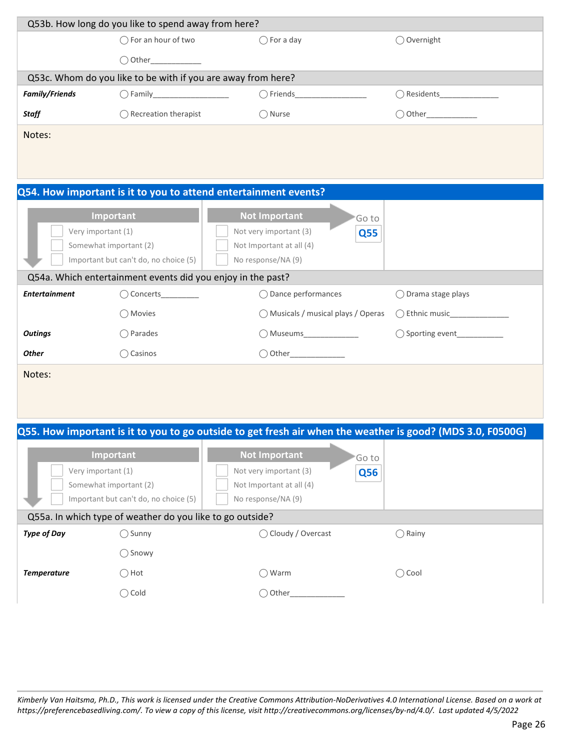| Q53b. How long do you like to spend away from here?                                                                                                                                                                            |                                                              |                                                                 |                              |
|--------------------------------------------------------------------------------------------------------------------------------------------------------------------------------------------------------------------------------|--------------------------------------------------------------|-----------------------------------------------------------------|------------------------------|
|                                                                                                                                                                                                                                | $\bigcap$ For an hour of two                                 | $\bigcap$ For a day                                             | ◯ Overnight                  |
|                                                                                                                                                                                                                                | $\bigcirc$ Other                                             |                                                                 |                              |
|                                                                                                                                                                                                                                | Q53c. Whom do you like to be with if you are away from here? |                                                                 |                              |
| <b>Family/Friends</b>                                                                                                                                                                                                          |                                                              |                                                                 |                              |
| <b>Staff</b>                                                                                                                                                                                                                   | $\bigcirc$ Recreation therapist                              | $\bigcirc$ Nurse                                                |                              |
| Notes:                                                                                                                                                                                                                         |                                                              |                                                                 |                              |
|                                                                                                                                                                                                                                |                                                              |                                                                 |                              |
|                                                                                                                                                                                                                                |                                                              | Q54. How important is it to you to attend entertainment events? |                              |
| <b>Not Important</b><br>Important<br>'Go to<br>Very important (1)<br>Not very important (3)<br><b>Q55</b><br>Somewhat important (2)<br>Not Important at all (4)<br>Important but can't do, no choice (5)<br>No response/NA (9) |                                                              |                                                                 |                              |
|                                                                                                                                                                                                                                | Q54a. Which entertainment events did you enjoy in the past?  |                                                                 |                              |
| <b>Entertainment</b>                                                                                                                                                                                                           | O Concerts                                                   | $\bigcirc$ Dance performances                                   | ◯ Drama stage plays          |
|                                                                                                                                                                                                                                | ◯ Movies                                                     | ◯ Musicals / musical plays / Operas                             |                              |
| <b>Outings</b>                                                                                                                                                                                                                 | $\bigcirc$ Parades                                           | ◯ Museums_______________                                        | ◯ Sporting event____________ |
| <b>Other</b>                                                                                                                                                                                                                   | ◯ Casinos                                                    |                                                                 |                              |
| Notes:                                                                                                                                                                                                                         |                                                              |                                                                 |                              |
|                                                                                                                                                                                                                                |                                                              |                                                                 |                              |
|                                                                                                                                                                                                                                |                                                              |                                                                 |                              |

#### **Q55. How important is it to you to go outside to get fresh air when the weather is good? (MDS 3.0, F0500G)**

|                                                           | Important              | <b>Not Important</b><br>'Go to       |                 |
|-----------------------------------------------------------|------------------------|--------------------------------------|-----------------|
|                                                           | Very important (1)     | Not very important (3)<br><b>Q56</b> |                 |
|                                                           | Somewhat important (2) | Not Important at all (4)             |                 |
| Important but can't do, no choice (5)                     |                        | No response/NA (9)                   |                 |
| Q55a. In which type of weather do you like to go outside? |                        |                                      |                 |
| <b>Type of Day</b>                                        | $\bigcirc$ Sunny       | ◯ Cloudy / Overcast                  | $\bigcap$ Rainy |
|                                                           | $\bigcap$ Snowy        |                                      |                 |
| <b>Temperature</b>                                        | $\bigcap$ Hot          | ◯ Warm                               | $\bigcirc$ Cool |
|                                                           | $\bigcirc$ Cold        | $\bigcirc$ Other                     |                 |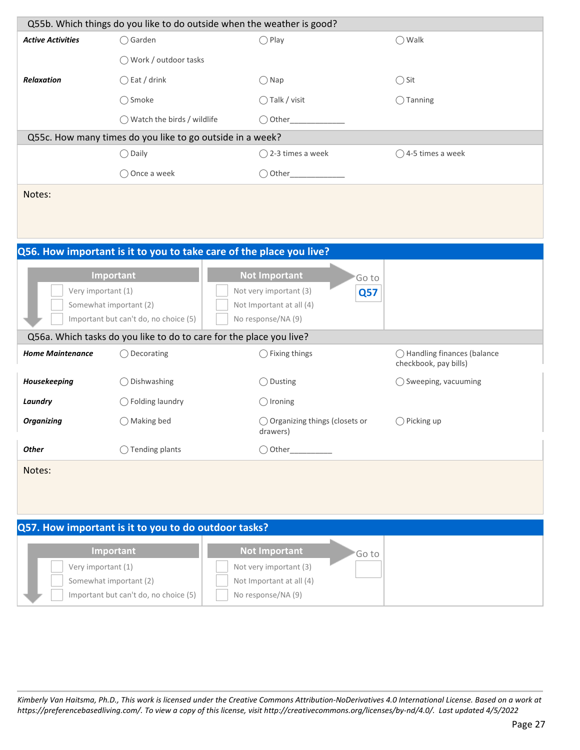|                                       |                                                                     | Q55b. Which things do you like to do outside when the weather is good? |                                |  |  |
|---------------------------------------|---------------------------------------------------------------------|------------------------------------------------------------------------|--------------------------------|--|--|
|                                       |                                                                     |                                                                        |                                |  |  |
| <b>Active Activities</b>              | $\bigcirc$ Garden                                                   | $\bigcirc$ Play                                                        | $\bigcirc$ Walk                |  |  |
|                                       | ◯ Work / outdoor tasks                                              |                                                                        |                                |  |  |
| Relaxation                            | $\bigcirc$ Eat / drink                                              | $\bigcirc$ Nap                                                         | $\bigcirc$ Sit                 |  |  |
|                                       | ◯ Smoke                                                             | ◯ Talk / visit                                                         | $\bigcirc$ Tanning             |  |  |
|                                       | ◯ Watch the birds / wildlife                                        | $\bigcirc$ Other                                                       |                                |  |  |
|                                       | Q55c. How many times do you like to go outside in a week?           |                                                                        |                                |  |  |
|                                       | $\bigcirc$ Daily                                                    | $\bigcirc$ 2-3 times a week                                            | $\bigcirc$ 4-5 times a week    |  |  |
|                                       | ◯ Once a week                                                       |                                                                        |                                |  |  |
| Notes:                                |                                                                     |                                                                        |                                |  |  |
|                                       |                                                                     |                                                                        |                                |  |  |
|                                       |                                                                     |                                                                        |                                |  |  |
|                                       |                                                                     |                                                                        |                                |  |  |
|                                       |                                                                     | Q56. How important is it to you to take care of the place you live?    |                                |  |  |
|                                       | Important                                                           | <b>Not Important</b><br>Go to                                          |                                |  |  |
| Very important (1)                    |                                                                     | Not very important (3)<br>Q <sub>57</sub>                              |                                |  |  |
|                                       | Somewhat important (2)<br>Important but can't do, no choice (5)     | Not Important at all (4)<br>No response/NA (9)                         |                                |  |  |
|                                       | Q56a. Which tasks do you like to do to care for the place you live? |                                                                        |                                |  |  |
| <b>Home Maintenance</b>               | $\bigcirc$ Decorating                                               | $\bigcirc$ Fixing things                                               | ◯ Handling finances (balance   |  |  |
|                                       |                                                                     |                                                                        | checkbook, pay bills)          |  |  |
| Housekeeping                          | ◯ Dishwashing                                                       | ◯ Dusting                                                              | $\bigcirc$ Sweeping, vacuuming |  |  |
| Laundry                               | $\bigcirc$ Folding laundry                                          | $\bigcirc$ Ironing                                                     |                                |  |  |
| <b>Organizing</b>                     | ◯ Making bed                                                        | ◯ Organizing things (closets or                                        | $\bigcirc$ Picking up          |  |  |
|                                       |                                                                     | drawers)                                                               |                                |  |  |
| <b>Other</b>                          | ◯ Tending plants                                                    | $\bigcirc$ Other                                                       |                                |  |  |
| Notes:                                |                                                                     |                                                                        |                                |  |  |
|                                       |                                                                     |                                                                        |                                |  |  |
|                                       |                                                                     |                                                                        |                                |  |  |
|                                       | Q57. How important is it to you to do outdoor tasks?                |                                                                        |                                |  |  |
|                                       | Important                                                           | <b>Not Important</b>                                                   |                                |  |  |
| Very important (1)                    |                                                                     | Go to<br>Not very important (3)                                        |                                |  |  |
|                                       | Somewhat important (2)                                              | Not Important at all (4)                                               |                                |  |  |
| Important but can't do, no choice (5) |                                                                     | No response/NA (9)                                                     |                                |  |  |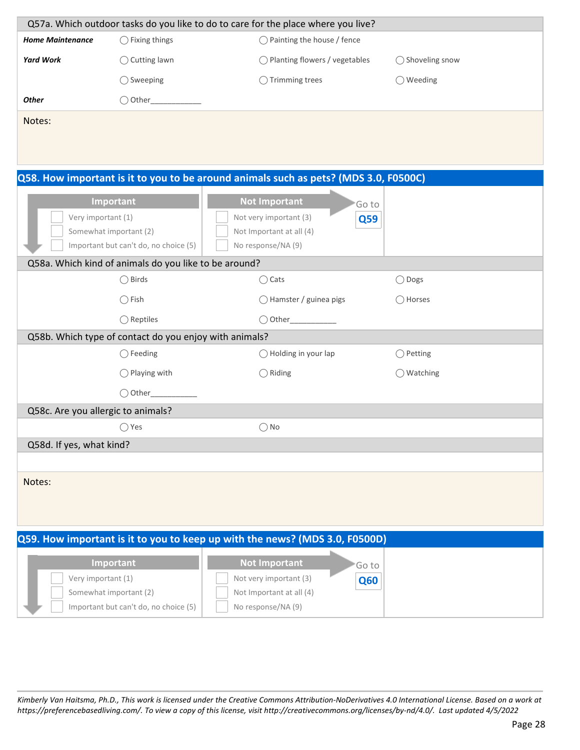|                                    |                                                        | Q57a. Which outdoor tasks do you like to do to care for the place where you live?    |                     |
|------------------------------------|--------------------------------------------------------|--------------------------------------------------------------------------------------|---------------------|
| <b>Home Maintenance</b>            | $\bigcirc$ Fixing things                               | ◯ Painting the house / fence                                                         |                     |
| <b>Yard Work</b>                   | $\bigcirc$ Cutting lawn                                | ◯ Planting flowers / vegetables                                                      | ◯ Shoveling snow    |
|                                    | $\bigcirc$ Sweeping                                    | $\bigcirc$ Trimming trees                                                            | $\bigcirc$ Weeding  |
| Other                              |                                                        |                                                                                      |                     |
| Notes:                             |                                                        |                                                                                      |                     |
|                                    |                                                        |                                                                                      |                     |
|                                    |                                                        |                                                                                      |                     |
|                                    |                                                        | Q58. How important is it to you to be around animals such as pets? (MDS 3.0, F0500C) |                     |
|                                    | Important                                              | <b>Not Important</b>                                                                 |                     |
| Very important (1)                 |                                                        | 'Go to<br>Not very important (3)<br>Q59                                              |                     |
|                                    | Somewhat important (2)                                 | Not Important at all (4)                                                             |                     |
|                                    | Important but can't do, no choice (5)                  | No response/NA (9)                                                                   |                     |
|                                    | Q58a. Which kind of animals do you like to be around?  |                                                                                      |                     |
|                                    | $\bigcirc$ Birds                                       | $\bigcirc$ Cats                                                                      | ◯ Dogs              |
|                                    | $\bigcirc$ Fish                                        | ◯ Hamster / guinea pigs                                                              | ◯ Horses            |
|                                    | $\bigcirc$ Reptiles                                    |                                                                                      |                     |
|                                    | Q58b. Which type of contact do you enjoy with animals? |                                                                                      |                     |
|                                    | $\bigcirc$ Feeding                                     | $\bigcirc$ Holding in your lap                                                       | $\bigcirc$ Petting  |
|                                    | $\bigcirc$ Playing with                                | $\bigcirc$ Riding                                                                    | $\bigcirc$ Watching |
|                                    | $\bigcirc$ Other                                       |                                                                                      |                     |
| Q58c. Are you allergic to animals? |                                                        |                                                                                      |                     |
|                                    | $\bigcirc$ Yes                                         | ()No                                                                                 |                     |
| Q58d. If yes, what kind?           |                                                        |                                                                                      |                     |
|                                    |                                                        |                                                                                      |                     |
| Notes:                             |                                                        |                                                                                      |                     |
|                                    |                                                        |                                                                                      |                     |
|                                    |                                                        |                                                                                      |                     |
|                                    |                                                        | Q59. How important is it to you to keep up with the news? (MDS 3.0, F0500D)          |                     |
|                                    | Important                                              | <b>Not Important</b><br>Go to                                                        |                     |
| Very important (1)                 |                                                        | Not very important (3)<br><b>Q60</b>                                                 |                     |
|                                    | Somewhat important (2)                                 | Not Important at all (4)                                                             |                     |
|                                    | Important but can't do, no choice (5)                  | No response/NA (9)                                                                   |                     |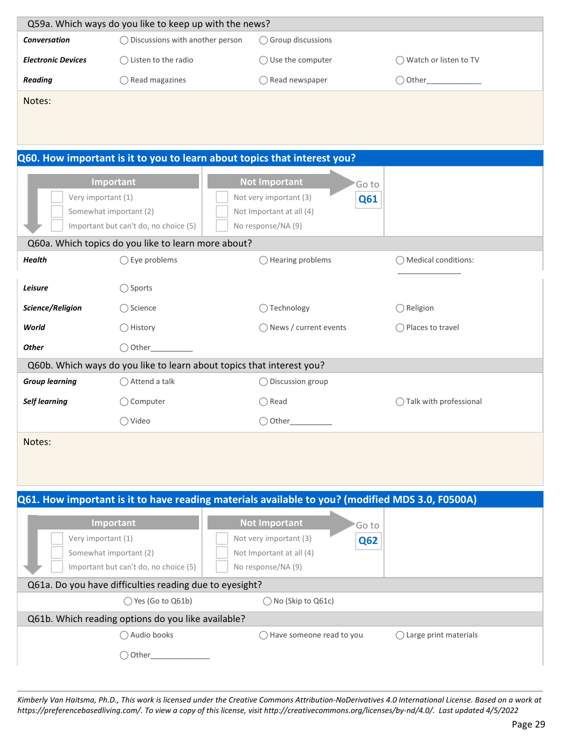| Q59a. Which ways do you like to keep up with the news? |                                           |                              |                                 |  |
|--------------------------------------------------------|-------------------------------------------|------------------------------|---------------------------------|--|
| Conversation                                           | $\bigcap$ Discussions with another person | $\bigcirc$ Group discussions |                                 |  |
| <b>Electronic Devices</b>                              | $\bigcap$ Listen to the radio             | $\bigcirc$ Use the computer  | $\bigcap$ Watch or listen to TV |  |
| Reading                                                | Read magazines                            | $\bigcirc$ Read newspaper    | ◯ Other                         |  |
| Notes:                                                 |                                           |                              |                                 |  |

| Q60. How important is it to you to learn about topics that interest you? |  |
|--------------------------------------------------------------------------|--|
|                                                                          |  |

| Very important (1)<br>Somewhat important (2) | Important<br>Important but can't do, no choice (5)<br>Q60a. Which topics do you like to learn more about? | <b>Not Important</b><br>Go to<br>Not very important (3)<br>Q61<br>Not Important at all (4)<br>No response/NA (9) |                               |
|----------------------------------------------|-----------------------------------------------------------------------------------------------------------|------------------------------------------------------------------------------------------------------------------|-------------------------------|
| <b>Health</b>                                | $\bigcirc$ Eye problems                                                                                   | $\bigcirc$ Hearing problems                                                                                      | $\bigcap$ Medical conditions: |
| Leisure                                      | $\bigcirc$ Sports                                                                                         |                                                                                                                  |                               |
| Science/Religion                             | ◯ Science                                                                                                 | $\bigcap$ Technology                                                                                             | $\bigcirc$ Religion           |
| World                                        | $\bigcirc$ History                                                                                        | $\bigcirc$ News / current events                                                                                 | $\bigcirc$ Places to travel   |
| <b>Other</b>                                 | $\bigcirc$ Other                                                                                          |                                                                                                                  |                               |
|                                              |                                                                                                           | Q60b. Which ways do you like to learn about topics that interest you?                                            |                               |
| <b>Group learning</b>                        | $\bigcirc$ Attend a talk                                                                                  | $\bigcirc$ Discussion group                                                                                      |                               |
| Self learning                                | $\bigcirc$ Computer                                                                                       | $\bigcap$ Read                                                                                                   | Talk with professional        |
|                                              | $\bigcirc$ Video                                                                                          | ◯ Other                                                                                                          |                               |
| Notes:                                       |                                                                                                           |                                                                                                                  |                               |

| Q61. How important is it to have reading materials available to you? (modified MDS 3.0, F0500A)    |                                                                                                                          |                                 |
|----------------------------------------------------------------------------------------------------|--------------------------------------------------------------------------------------------------------------------------|---------------------------------|
| Important<br>Very important (1)<br>Somewhat important (2)<br>Important but can't do, no choice (5) | <b>Not Important</b><br>'Go to<br>Not very important (3)<br><b>Q62</b><br>Not Important at all (4)<br>No response/NA (9) |                                 |
| Q61a. Do you have difficulties reading due to eyesight?                                            |                                                                                                                          |                                 |
| $\bigcirc$ Yes (Go to Q61b)                                                                        | $\bigcap$ No (Skip to Q61c)                                                                                              |                                 |
| Q61b. Which reading options do you like available?                                                 |                                                                                                                          |                                 |
| Audio books                                                                                        | Have someone read to you                                                                                                 | $\bigcap$ Large print materials |
| Other                                                                                              |                                                                                                                          |                                 |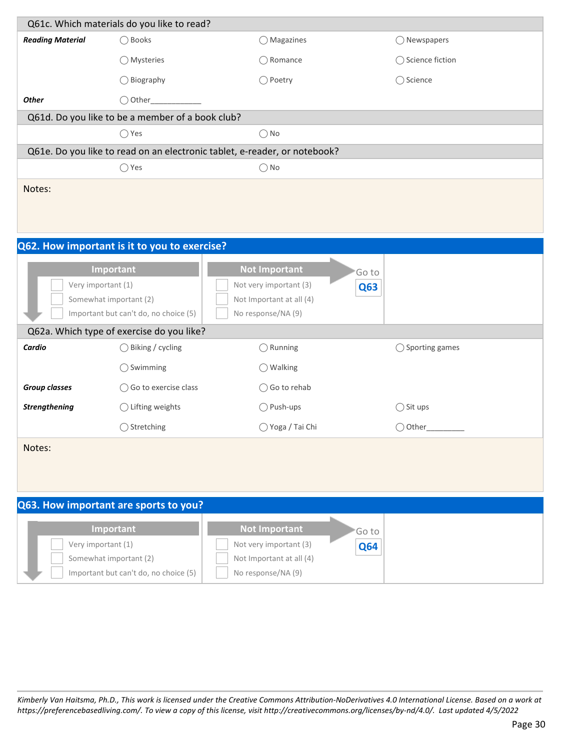| Q61c. Which materials do you like to read?   |                                                                 |                                                                           |                           |  |  |  |  |
|----------------------------------------------|-----------------------------------------------------------------|---------------------------------------------------------------------------|---------------------------|--|--|--|--|
| <b>Reading Material</b>                      | ◯ Books                                                         | ◯ Magazines                                                               | $\bigcirc$ Newspapers     |  |  |  |  |
|                                              | ◯ Mysteries                                                     | $\bigcirc$ Romance                                                        | ◯ Science fiction         |  |  |  |  |
|                                              | $\bigcirc$ Biography                                            | ◯ Poetry                                                                  | ◯ Science                 |  |  |  |  |
| <b>Other</b>                                 |                                                                 |                                                                           |                           |  |  |  |  |
|                                              | Q61d. Do you like to be a member of a book club?                |                                                                           |                           |  |  |  |  |
|                                              | $\bigcirc$ Yes                                                  | $\bigcirc$ No                                                             |                           |  |  |  |  |
|                                              |                                                                 | Q61e. Do you like to read on an electronic tablet, e-reader, or notebook? |                           |  |  |  |  |
|                                              | $\bigcirc$ Yes                                                  | $\bigcirc$ No                                                             |                           |  |  |  |  |
| Notes:                                       |                                                                 |                                                                           |                           |  |  |  |  |
|                                              |                                                                 |                                                                           |                           |  |  |  |  |
|                                              |                                                                 |                                                                           |                           |  |  |  |  |
| Q62. How important is it to you to exercise? |                                                                 |                                                                           |                           |  |  |  |  |
|                                              |                                                                 |                                                                           |                           |  |  |  |  |
|                                              | Important                                                       | <b>Not Important</b>                                                      | 'Go to                    |  |  |  |  |
| Very important (1)                           |                                                                 | Not very important (3)                                                    | Q63                       |  |  |  |  |
|                                              | Somewhat important (2)<br>Important but can't do, no choice (5) | Not Important at all (4)<br>No response/NA (9)                            |                           |  |  |  |  |
|                                              | Q62a. Which type of exercise do you like?                       |                                                                           |                           |  |  |  |  |
| Cardio                                       | $\bigcirc$ Biking / cycling                                     | $\bigcirc$ Running                                                        | $\bigcirc$ Sporting games |  |  |  |  |
|                                              |                                                                 |                                                                           |                           |  |  |  |  |
|                                              | $\bigcirc$ Swimming                                             | $\bigcirc$ Walking                                                        |                           |  |  |  |  |
| <b>Group classes</b>                         | $\bigcirc$ Go to exercise class                                 | $\bigcirc$ Go to rehab                                                    |                           |  |  |  |  |
| <b>Strengthening</b>                         | $\bigcirc$ Lifting weights                                      | $\bigcirc$ Push-ups                                                       | $\bigcirc$ Sit ups        |  |  |  |  |
|                                              | ◯ Stretching                                                    | ◯ Yoga / Tai Chi                                                          | $\bigcirc$ Other_         |  |  |  |  |
| Notes:                                       |                                                                 |                                                                           |                           |  |  |  |  |
|                                              |                                                                 |                                                                           |                           |  |  |  |  |
|                                              |                                                                 |                                                                           |                           |  |  |  |  |
| Q63. How important are sports to you?        |                                                                 |                                                                           |                           |  |  |  |  |
|                                              |                                                                 |                                                                           |                           |  |  |  |  |
|                                              | Important                                                       | <b>Not Important</b>                                                      | Go to                     |  |  |  |  |
| Very important (1)                           |                                                                 | Not very important (3)                                                    | <b>Q64</b>                |  |  |  |  |
|                                              | Somewhat important (2)                                          | Not Important at all (4)                                                  |                           |  |  |  |  |
|                                              | Important but can't do, no choice (5)                           | No response/NA (9)                                                        |                           |  |  |  |  |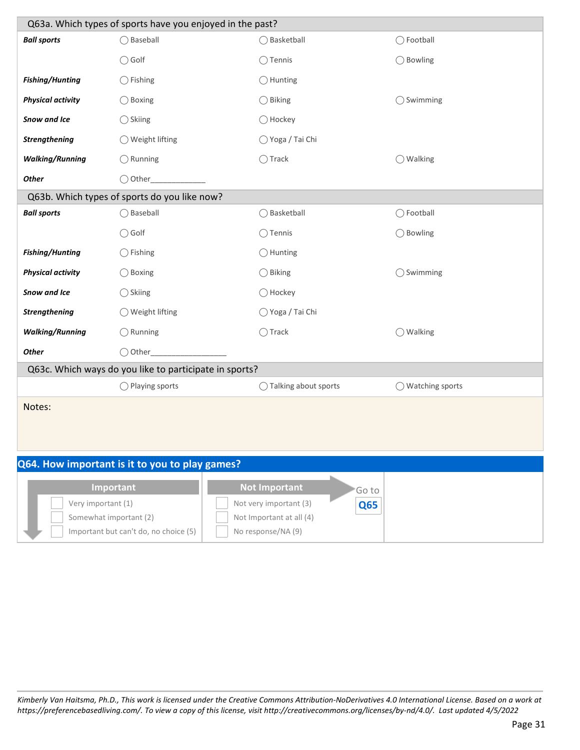| Q63a. Which types of sports have you enjoyed in the past? |                                                        |  |                        |                     |                            |  |
|-----------------------------------------------------------|--------------------------------------------------------|--|------------------------|---------------------|----------------------------|--|
| <b>Ball sports</b>                                        | ◯ Baseball                                             |  | ◯ Basketball           |                     | ◯ Football                 |  |
|                                                           | $\bigcirc$ Golf                                        |  | $\bigcirc$ Tennis      |                     | $\bigcirc$ Bowling         |  |
| <b>Fishing/Hunting</b>                                    | $\bigcirc$ Fishing                                     |  | $\bigcirc$ Hunting     |                     |                            |  |
| <b>Physical activity</b>                                  | $\bigcirc$ Boxing                                      |  | $\bigcirc$ Biking      |                     | $\bigcirc$ Swimming        |  |
| Snow and Ice                                              | $\bigcirc$ Skiing                                      |  | ( ) Hockey             |                     |                            |  |
| <b>Strengthening</b>                                      | ◯ Weight lifting                                       |  | ◯ Yoga / Tai Chi       |                     |                            |  |
| <b>Walking/Running</b>                                    | $\bigcirc$ Running                                     |  | $\bigcirc$ Track       |                     | $\bigcirc$ Walking         |  |
| <b>Other</b>                                              | $\bigcirc$ Other                                       |  |                        |                     |                            |  |
|                                                           | Q63b. Which types of sports do you like now?           |  |                        |                     |                            |  |
| <b>Ball sports</b>                                        | ◯ Baseball                                             |  | ◯ Basketball           |                     | ◯ Football                 |  |
|                                                           | $\bigcirc$ Golf                                        |  | $\bigcirc$ Tennis      |                     | ◯ Bowling                  |  |
| <b>Fishing/Hunting</b>                                    | $\bigcirc$ Fishing                                     |  | $\bigcirc$ Hunting     |                     |                            |  |
| <b>Physical activity</b>                                  | $\bigcirc$ Boxing                                      |  | $\bigcirc$ Biking      |                     | $\bigcirc$ Swimming        |  |
| Snow and Ice                                              | $\bigcirc$ Skiing                                      |  | ( ) Hockey             |                     |                            |  |
| Strengthening                                             | ◯ Weight lifting                                       |  | ◯ Yoga / Tai Chi       |                     |                            |  |
| <b>Walking/Running</b>                                    | $\bigcirc$ Running                                     |  | $\bigcirc$ Track       |                     | $\bigcirc$ Walking         |  |
| <b>Other</b>                                              | $\bigcirc$ Other                                       |  |                        |                     |                            |  |
|                                                           | Q63c. Which ways do you like to participate in sports? |  |                        |                     |                            |  |
|                                                           | $\bigcirc$ Playing sports                              |  | ◯ Talking about sports |                     | $\bigcirc$ Watching sports |  |
| Notes:                                                    |                                                        |  |                        |                     |                            |  |
|                                                           |                                                        |  |                        |                     |                            |  |
|                                                           |                                                        |  |                        |                     |                            |  |
| Q64. How important is it to you to play games?            |                                                        |  |                        |                     |                            |  |
|                                                           | <b>Not Important</b><br>Important                      |  |                        |                     |                            |  |
| Very important (1)                                        |                                                        |  | Not very important (3) | Go to<br><b>O65</b> |                            |  |

| <b>Important</b>                        | <b>Not Important</b>     | 'Go to     |
|-----------------------------------------|--------------------------|------------|
| Very important (1)                      | Not very important (3)   | <b>Q65</b> |
| Somewhat important (2)                  | Not Important at all (4) |            |
| Important but can't do, no choice $(5)$ | No response/NA (9)       |            |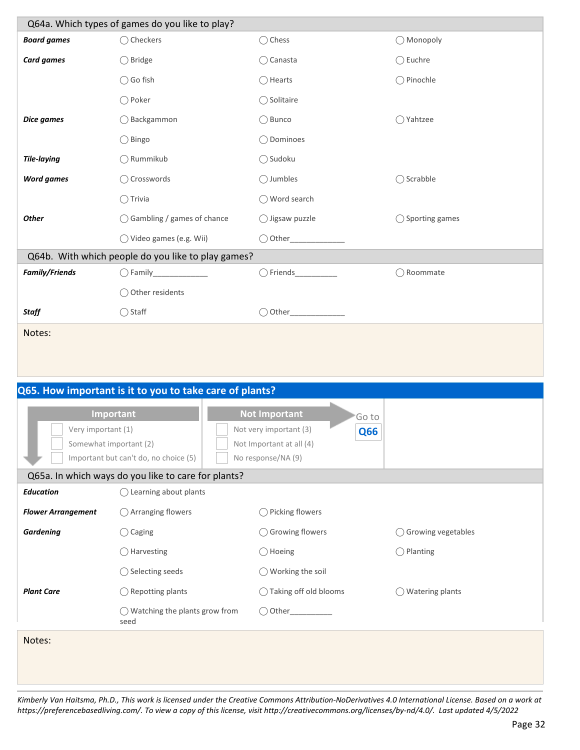| Q64a. Which types of games do you like to play? |                                                                                              |                                      |                            |  |  |
|-------------------------------------------------|----------------------------------------------------------------------------------------------|--------------------------------------|----------------------------|--|--|
| <b>Board games</b>                              | ◯ Checkers                                                                                   | ◯ Chess                              | ◯ Monopoly                 |  |  |
| <b>Card games</b>                               | ◯ Bridge                                                                                     | $\bigcirc$ Canasta                   | $\bigcirc$ Euchre          |  |  |
|                                                 | ◯ Go fish                                                                                    | $\bigcap$ Hearts                     | ◯ Pinochle                 |  |  |
|                                                 | ◯ Poker                                                                                      | ◯ Solitaire                          |                            |  |  |
| Dice games                                      | ◯ Backgammon                                                                                 | $\bigcirc$ Bunco                     | ◯ Yahtzee                  |  |  |
|                                                 | ◯ Bingo                                                                                      | ◯ Dominoes                           |                            |  |  |
| <b>Tile-laying</b>                              | ◯ Rummikub                                                                                   | ◯ Sudoku                             |                            |  |  |
| <b>Word games</b>                               | ◯ Crosswords                                                                                 | $\bigcirc$ Jumbles                   | ◯ Scrabble                 |  |  |
|                                                 | $\bigcirc$ Trivia                                                                            | ◯ Word search                        |                            |  |  |
| <b>Other</b>                                    | ◯ Gambling / games of chance                                                                 | $\bigcirc$ Jigsaw puzzle             | $\bigcirc$ Sporting games  |  |  |
|                                                 | ◯ Video games (e.g. Wii)                                                                     |                                      |                            |  |  |
|                                                 | Q64b. With which people do you like to play games?                                           |                                      |                            |  |  |
| <b>Family/Friends</b>                           |                                                                                              |                                      | ◯ Roommate                 |  |  |
|                                                 | ◯ Other residents                                                                            |                                      |                            |  |  |
| Staff                                           | $\bigcirc$ Staff                                                                             |                                      |                            |  |  |
| Notes:                                          |                                                                                              |                                      |                            |  |  |
|                                                 |                                                                                              |                                      |                            |  |  |
|                                                 |                                                                                              |                                      |                            |  |  |
|                                                 | Q65. How important is it to you to take care of plants?                                      |                                      |                            |  |  |
|                                                 | Important                                                                                    | <b>Not Important</b><br>'Go to       |                            |  |  |
| Very important (1)                              |                                                                                              | Not very important (3)<br><b>Q66</b> |                            |  |  |
| Somewhat important (2)                          |                                                                                              | Not Important at all (4)             |                            |  |  |
|                                                 | Important but can't do, no choice (5)<br>Q65a. In which ways do you like to care for plants? | No response/NA (9)                   |                            |  |  |
| <b>Education</b>                                | ◯ Learning about plants                                                                      |                                      |                            |  |  |
| <b>Flower Arrangement</b>                       | ◯ Arranging flowers                                                                          | $\bigcirc$ Picking flowers           |                            |  |  |
| <b>Gardening</b>                                | $\bigcirc$ Caging                                                                            | ◯ Growing flowers                    | ◯ Growing vegetables       |  |  |
|                                                 | $\bigcirc$ Harvesting                                                                        | $\bigcirc$ Hoeing                    | $\bigcap$ Planting         |  |  |
|                                                 | ◯ Selecting seeds                                                                            | $\bigcirc$ Working the soil          |                            |  |  |
| <b>Plant Care</b>                               | $\bigcirc$ Repotting plants                                                                  | ◯ Taking off old blooms              | $\bigcirc$ Watering plants |  |  |
|                                                 | $\bigcirc$ Watching the plants grow from                                                     | $\bigcirc$ Other                     |                            |  |  |
|                                                 | seed                                                                                         |                                      |                            |  |  |
| Notes:                                          |                                                                                              |                                      |                            |  |  |
|                                                 |                                                                                              |                                      |                            |  |  |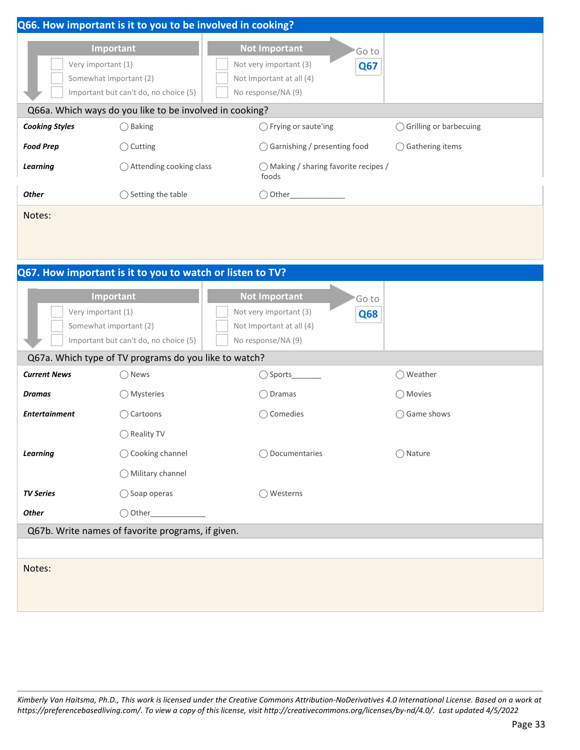|                       | Q66. How important is it to you to be involved in cooking?                                         |                                                                                                                         |                            |
|-----------------------|----------------------------------------------------------------------------------------------------|-------------------------------------------------------------------------------------------------------------------------|----------------------------|
|                       | Important<br>Very important (1)<br>Somewhat important (2)<br>Important but can't do, no choice (5) | <b>Not Important</b><br>Go to<br>Not very important (3)<br><b>Q67</b><br>Not Important at all (4)<br>No response/NA (9) |                            |
|                       | Q66a. Which ways do you like to be involved in cooking?                                            |                                                                                                                         |                            |
| <b>Cooking Styles</b> | $\bigcirc$ Baking                                                                                  | ◯ Frying or saute'ing                                                                                                   | ◯ Grilling or barbecuing   |
| <b>Food Prep</b>      | $\bigcirc$ Cutting                                                                                 | $\bigcirc$ Garnishing / presenting food                                                                                 | $\bigcirc$ Gathering items |
| Learning              | $\bigcirc$ Attending cooking class                                                                 | $\bigcap$ Making / sharing favorite recipes /<br>foods                                                                  |                            |
| <b>Other</b>          | Setting the table                                                                                  | ◯ Other                                                                                                                 |                            |
| Notes:                |                                                                                                    |                                                                                                                         |                            |

|                                                                                                    | Q67. How important is it to you to watch or listen to TV? |                                                                                                                   |              |
|----------------------------------------------------------------------------------------------------|-----------------------------------------------------------|-------------------------------------------------------------------------------------------------------------------|--------------|
| Important<br>Very important (1)<br>Somewhat important (2)<br>Important but can't do, no choice (5) |                                                           | <b>Not Important</b><br>'Go to<br>Not very important (3)<br>Q68<br>Not Important at all (4)<br>No response/NA (9) |              |
|                                                                                                    | Q67a. Which type of TV programs do you like to watch?     |                                                                                                                   |              |
| <b>Current News</b>                                                                                | $\bigcirc$ News                                           |                                                                                                                   | ◯ Weather    |
| <b>Dramas</b>                                                                                      | ◯ Mysteries                                               | $\bigcirc$ Dramas                                                                                                 | ◯ Movies     |
| <b>Entertainment</b>                                                                               | ◯ Cartoons                                                | ◯ Comedies                                                                                                        | ◯ Game shows |
|                                                                                                    | ◯ Reality TV                                              |                                                                                                                   |              |
| <b>Learning</b>                                                                                    | ◯ Cooking channel                                         | Documentaries                                                                                                     | ◯ Nature     |
|                                                                                                    | ◯ Military channel                                        |                                                                                                                   |              |
| <b>TV Series</b>                                                                                   | $\bigcirc$ Soap operas                                    | ◯ Westerns                                                                                                        |              |
| <b>Other</b>                                                                                       | $\bigcirc$ Other                                          |                                                                                                                   |              |
|                                                                                                    | Q67b. Write names of favorite programs, if given.         |                                                                                                                   |              |
|                                                                                                    |                                                           |                                                                                                                   |              |
| Notes:                                                                                             |                                                           |                                                                                                                   |              |
|                                                                                                    |                                                           |                                                                                                                   |              |
|                                                                                                    |                                                           |                                                                                                                   |              |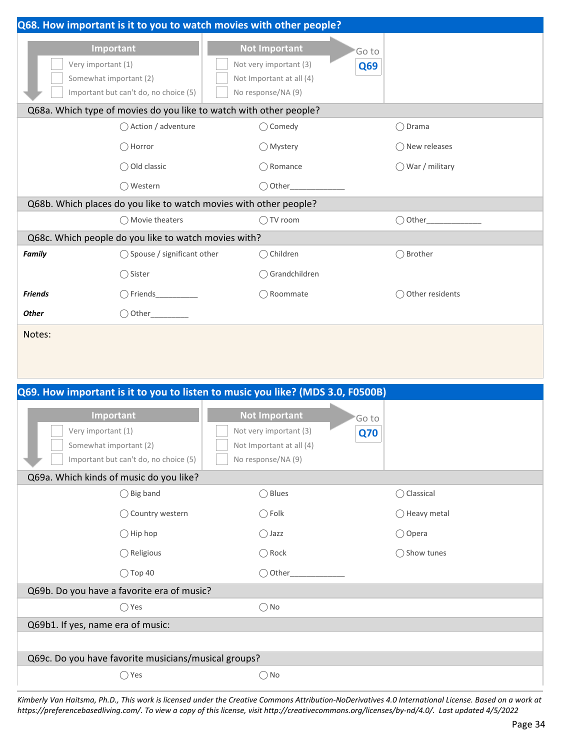|                |                                                                                            | Q68. How important is it to you to watch movies with other people?             |            |                        |
|----------------|--------------------------------------------------------------------------------------------|--------------------------------------------------------------------------------|------------|------------------------|
|                | Important                                                                                  | <b>Not Important</b>                                                           | 'Go to     |                        |
|                | Very important (1)                                                                         | Not very important (3)                                                         | Q69        |                        |
|                | Somewhat important (2)<br>Important but can't do, no choice (5)                            | Not Important at all (4)<br>No response/NA (9)                                 |            |                        |
|                |                                                                                            |                                                                                |            |                        |
|                | Q68a. Which type of movies do you like to watch with other people?<br>◯ Action / adventure | $\bigcirc$ Comedy                                                              |            | $\bigcirc$ Drama       |
|                |                                                                                            |                                                                                |            |                        |
|                | $\bigcirc$ Horror                                                                          | $\bigcirc$ Mystery                                                             |            | ◯ New releases         |
|                | ◯ Old classic                                                                              | $\bigcap$ Romance                                                              |            | ◯ War / military       |
|                | ◯ Western                                                                                  | $\bigcirc$ Other_                                                              |            |                        |
|                | Q68b. Which places do you like to watch movies with other people?                          |                                                                                |            |                        |
|                | $\bigcap$ Movie theaters                                                                   | $\bigcap$ TV room                                                              |            |                        |
|                | Q68c. Which people do you like to watch movies with?                                       |                                                                                |            |                        |
| <b>Family</b>  | ◯ Spouse / significant other                                                               | $\bigcirc$ Children                                                            |            | ◯ Brother              |
|                | ◯ Sister                                                                                   | ◯ Grandchildren                                                                |            |                        |
| <b>Friends</b> |                                                                                            | ◯ Roommate                                                                     |            | ◯ Other residents      |
| <b>Other</b>   | $\bigcirc$ Other                                                                           |                                                                                |            |                        |
| Notes:         |                                                                                            |                                                                                |            |                        |
|                |                                                                                            |                                                                                |            |                        |
|                |                                                                                            |                                                                                |            |                        |
|                |                                                                                            | Q69. How important is it to you to listen to music you like? (MDS 3.0, F0500B) |            |                        |
|                |                                                                                            |                                                                                |            |                        |
|                | Important                                                                                  | <b>Not Important</b>                                                           | 'Go to     |                        |
|                | Very important (1)<br>Somewhat important (2)                                               | Not very important (3)<br>Not Important at all (4)                             | <b>Q70</b> |                        |
|                | Important but can't do, no choice (5)                                                      | No response/NA (9)                                                             |            |                        |
|                | Q69a. Which kinds of music do you like?                                                    |                                                                                |            |                        |
|                | $\bigcirc$ Big band                                                                        | $\bigcirc$ Blues                                                               |            | ◯ Classical            |
|                | ◯ Country western                                                                          | $\bigcirc$ Folk                                                                |            | $\bigcirc$ Heavy metal |
|                | $\bigcirc$ Hip hop                                                                         | $\bigcirc$ Jazz                                                                |            | ◯ Opera                |
|                | $\bigcirc$ Religious                                                                       | $\bigcap$ Rock                                                                 |            | ◯ Show tunes           |
|                | $\bigcirc$ Top 40                                                                          | $\bigcirc$ Other_                                                              |            |                        |
|                | Q69b. Do you have a favorite era of music?                                                 |                                                                                |            |                        |
|                | $\bigcirc$ Yes                                                                             | $\bigcirc$ No                                                                  |            |                        |
|                | Q69b1. If yes, name era of music:                                                          |                                                                                |            |                        |
|                |                                                                                            |                                                                                |            |                        |
|                | Q69c. Do you have favorite musicians/musical groups?                                       |                                                                                |            |                        |
|                | $\bigcirc$ Yes                                                                             | $\bigcirc$ No                                                                  |            |                        |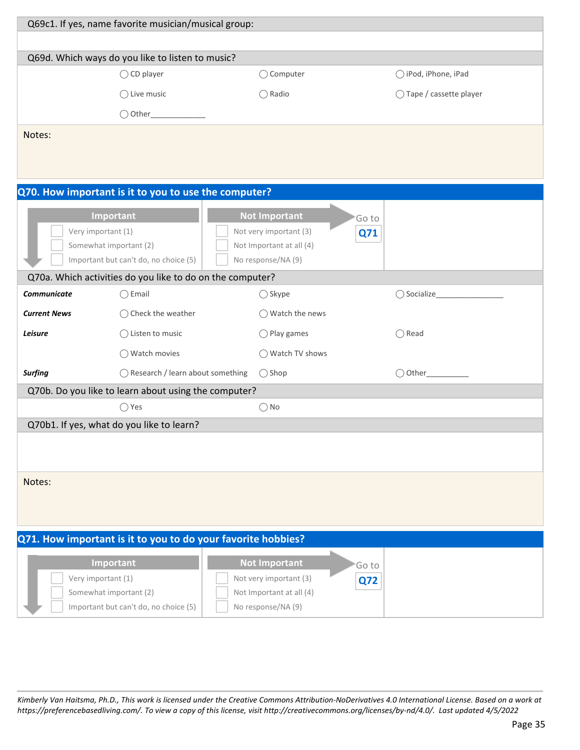| Q69c1. If yes, name favorite musician/musical group:         |                                                           |                                                    |                          |  |  |  |
|--------------------------------------------------------------|-----------------------------------------------------------|----------------------------------------------------|--------------------------|--|--|--|
|                                                              |                                                           |                                                    |                          |  |  |  |
|                                                              | Q69d. Which ways do you like to listen to music?          |                                                    |                          |  |  |  |
|                                                              | $\bigcirc$ CD player                                      | ○ Computer                                         | ○ iPod, iPhone, iPad     |  |  |  |
|                                                              | $\bigcirc$ Live music                                     | $\bigcirc$ Radio                                   | ◯ Tape / cassette player |  |  |  |
|                                                              |                                                           |                                                    |                          |  |  |  |
| Notes:                                                       |                                                           |                                                    |                          |  |  |  |
|                                                              |                                                           |                                                    |                          |  |  |  |
|                                                              |                                                           |                                                    |                          |  |  |  |
|                                                              | Q70. How important is it to you to use the computer?      |                                                    |                          |  |  |  |
|                                                              | Important                                                 | <b>Not Important</b>                               | Goto                     |  |  |  |
|                                                              | Very important (1)                                        | Not very important (3)                             | Q71                      |  |  |  |
|                                                              | Somewhat important (2)                                    | Not Important at all (4)                           |                          |  |  |  |
|                                                              | Important but can't do, no choice (5)                     | No response/NA (9)                                 |                          |  |  |  |
|                                                              | Q70a. Which activities do you like to do on the computer? |                                                    |                          |  |  |  |
| <b>Communicate</b>                                           | $\bigcirc$ Email                                          | $\bigcirc$ Skype                                   | ◯ Socialize              |  |  |  |
| <b>Current News</b>                                          | $\bigcirc$ Check the weather                              | ◯ Watch the news                                   |                          |  |  |  |
| Leisure                                                      | $\bigcirc$ Listen to music                                | $\bigcirc$ Play games                              | $\bigcirc$ Read          |  |  |  |
|                                                              | ◯ Watch movies                                            | ◯ Watch TV shows                                   |                          |  |  |  |
| <b>Surfing</b>                                               | ◯ Research / learn about something                        | $\bigcirc$ Shop                                    | $\bigcirc$ Other         |  |  |  |
|                                                              | Q70b. Do you like to learn about using the computer?      |                                                    |                          |  |  |  |
|                                                              | $\bigcirc$ Yes                                            | $\bigcirc$ No                                      |                          |  |  |  |
|                                                              | Q70b1. If yes, what do you like to learn?                 |                                                    |                          |  |  |  |
|                                                              |                                                           |                                                    |                          |  |  |  |
|                                                              |                                                           |                                                    |                          |  |  |  |
| Notes:                                                       |                                                           |                                                    |                          |  |  |  |
|                                                              |                                                           |                                                    |                          |  |  |  |
|                                                              |                                                           |                                                    |                          |  |  |  |
| Q71. How important is it to you to do your favorite hobbies? |                                                           |                                                    |                          |  |  |  |
|                                                              |                                                           |                                                    |                          |  |  |  |
|                                                              | Important                                                 | <b>Not Important</b>                               | 'Go to                   |  |  |  |
|                                                              | Very important (1)<br>Somewhat important (2)              | Not very important (3)<br>Not Important at all (4) | <b>Q72</b>               |  |  |  |
|                                                              | Important but can't do, no choice (5)                     | No response/NA (9)                                 |                          |  |  |  |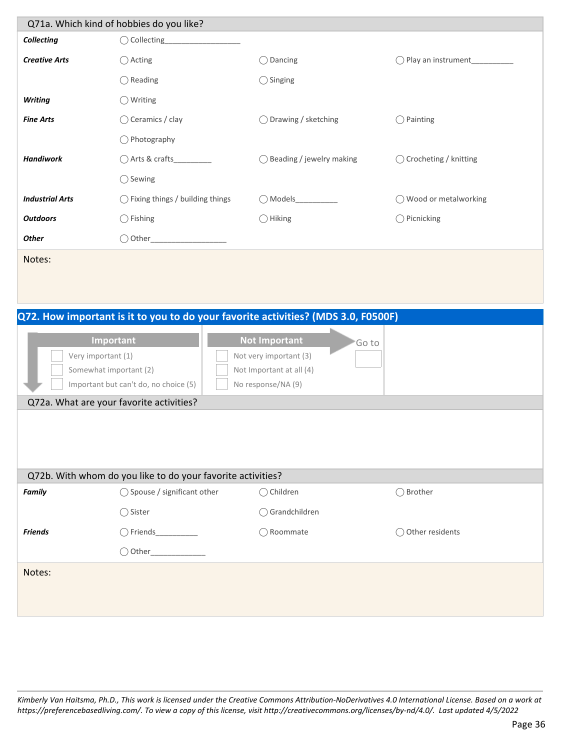|                        | Q71a. Which kind of hobbies do you like?   |                                     |                                                           |
|------------------------|--------------------------------------------|-------------------------------------|-----------------------------------------------------------|
| <b>Collecting</b>      | $\bigcirc$ Collecting                      |                                     |                                                           |
| <b>Creative Arts</b>   | $\bigcirc$ Acting                          | $\bigcirc$ Dancing                  | Play an instrument<br>( )                                 |
|                        | $\bigcirc$ Reading                         | $\bigcirc$ Singing                  |                                                           |
| <b>Writing</b>         | $\bigcirc$ Writing                         |                                     |                                                           |
| <b>Fine Arts</b>       | $\bigcirc$ Ceramics / clay                 | $\bigcirc$ Drawing / sketching      | Painting<br>$\left( \begin{array}{c} \end{array} \right)$ |
|                        | $\bigcirc$ Photography                     |                                     |                                                           |
| <b>Handiwork</b>       | ○ Arts & crafts                            | $\bigcirc$ Beading / jewelry making | ◯ Crocheting / knitting                                   |
|                        | $\bigcirc$ Sewing                          |                                     |                                                           |
| <b>Industrial Arts</b> | $\bigcirc$ Fixing things / building things | $\bigcap$ Models                    | ◯ Wood or metalworking                                    |
| <b>Outdoors</b>        | $\bigcirc$ Fishing                         | $\bigcirc$ Hiking                   | $\bigcirc$ Picnicking                                     |
| <b>Other</b>           | $\bigcirc$ Other                           |                                     |                                                           |
| Notes:                 |                                            |                                     |                                                           |
|                        |                                            |                                     |                                                           |

### **Q72. How important is it to you to do your favorite activities? (MDS 3.0, F0500F)**

| Very important (1) | Important<br>Somewhat important (2)<br>Important but can't do, no choice (5)<br>Q72a. What are your favorite activities? | <b>Not Important</b><br>Not very important (3)<br>Not Important at all (4)<br>No response/NA (9) | 'Go to |                                                        |
|--------------------|--------------------------------------------------------------------------------------------------------------------------|--------------------------------------------------------------------------------------------------|--------|--------------------------------------------------------|
|                    |                                                                                                                          |                                                                                                  |        |                                                        |
|                    | Q72b. With whom do you like to do your favorite activities?                                                              |                                                                                                  |        |                                                        |
| <b>Family</b>      | ◯ Spouse / significant other                                                                                             | $\bigcirc$ Children                                                                              |        | Brother<br>$\left(\begin{array}{c} \end{array}\right)$ |
|                    | ◯ Sister                                                                                                                 | $\bigcirc$ Grandchildren                                                                         |        |                                                        |
| <b>Friends</b>     | $\bigcirc$ Friends_                                                                                                      | Roommate                                                                                         |        | Other residents                                        |
|                    | $\bigcirc$ Other__                                                                                                       |                                                                                                  |        |                                                        |
| Notes:             |                                                                                                                          |                                                                                                  |        |                                                        |
|                    |                                                                                                                          |                                                                                                  |        |                                                        |